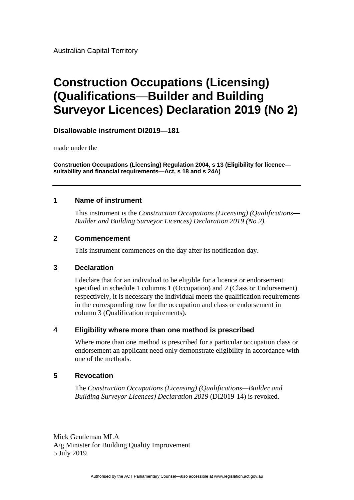Australian Capital Territory

# **Construction Occupations (Licensing) (Qualifications**—**Builder and Building Surveyor Licences) Declaration 2019 (No 2)**

# **Disallowable instrument DI2019—181**

made under the

**Construction Occupations (Licensing) Regulation 2004, s 13 (Eligibility for licence suitability and financial requirements—Act, s 18 and s 24A)**

### **1 Name of instrument**

This instrument is the *Construction Occupations (Licensing) (Qualifications*— *Builder and Building Surveyor Licences) Declaration 2019 (No 2).*

### **2 Commencement**

This instrument commences on the day after its notification day.

### **3 Declaration**

I declare that for an individual to be eligible for a licence or endorsement specified in schedule 1 columns 1 (Occupation) and 2 (Class or Endorsement) respectively, it is necessary the individual meets the qualification requirements in the corresponding row for the occupation and class or endorsement in column 3 (Qualification requirements).

# **4 Eligibility where more than one method is prescribed**

Where more than one method is prescribed for a particular occupation class or endorsement an applicant need only demonstrate eligibility in accordance with one of the methods.

# **5 Revocation**

The *Construction Occupations (Licensing) (Qualifications—Builder and Building Surveyor Licences) Declaration 2019* (DI2019-14) is revoked.

Mick Gentleman MLA A/g Minister for Building Quality Improvement 5 July 2019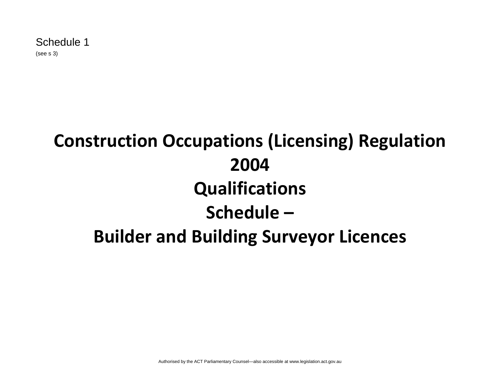# **Construction Occupations (Licensing) Regulation 2004 Qualifications Schedule – Builder and Building Surveyor Licences**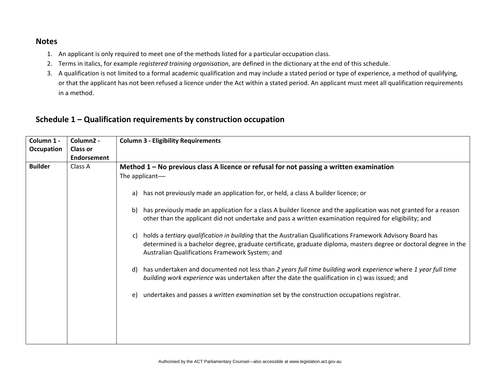### **Notes**

- 1. An applicant is only required to meet one of the methods listed for a particular occupation class.
- 2. Terms in italics, for example *registered training organisation*, are defined in the dictionary at the end of this schedule.
- 3. A qualification is not limited to a formal academic qualification and may include a stated period or type of experience, a method of qualifying, or that the applicant has not been refused a licence under the Act within a stated period. An applicant must meet all qualification requirements in a method.

# **Schedule 1 – Qualification requirements by construction occupation**

| Column 1 -     | Column <sub>2</sub> - | <b>Column 3 - Eligibility Requirements</b>                                                                                                                                                                                                                                               |
|----------------|-----------------------|------------------------------------------------------------------------------------------------------------------------------------------------------------------------------------------------------------------------------------------------------------------------------------------|
| Occupation     | <b>Class or</b>       |                                                                                                                                                                                                                                                                                          |
|                | <b>Endorsement</b>    |                                                                                                                                                                                                                                                                                          |
| <b>Builder</b> | Class A               | Method $1 - No$ previous class A licence or refusal for not passing a written examination                                                                                                                                                                                                |
|                |                       | The applicant-                                                                                                                                                                                                                                                                           |
|                |                       | has not previously made an application for, or held, a class A builder licence; or<br>a)                                                                                                                                                                                                 |
|                |                       | has previously made an application for a class A builder licence and the application was not granted for a reason<br>b)<br>other than the applicant did not undertake and pass a written examination required for eligibility; and                                                       |
|                |                       | holds a tertiary qualification in building that the Australian Qualifications Framework Advisory Board has<br>C)<br>determined is a bachelor degree, graduate certificate, graduate diploma, masters degree or doctoral degree in the<br>Australian Qualifications Framework System; and |
|                |                       | has undertaken and documented not less than 2 years full time building work experience where 1 year full time<br>d)<br>building work experience was undertaken after the date the qualification in c) was issued; and                                                                    |
|                |                       | undertakes and passes a written examination set by the construction occupations registrar.<br>e)                                                                                                                                                                                         |
|                |                       |                                                                                                                                                                                                                                                                                          |
|                |                       |                                                                                                                                                                                                                                                                                          |
|                |                       |                                                                                                                                                                                                                                                                                          |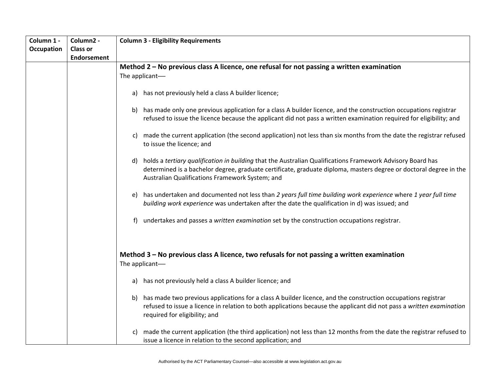| Column 1 -        | Column2 -          | <b>Column 3 - Eligibility Requirements</b>                                                                                |
|-------------------|--------------------|---------------------------------------------------------------------------------------------------------------------------|
| <b>Occupation</b> | <b>Class or</b>    |                                                                                                                           |
|                   | <b>Endorsement</b> |                                                                                                                           |
|                   |                    | Method 2 - No previous class A licence, one refusal for not passing a written examination                                 |
|                   |                    | The applicant-                                                                                                            |
|                   |                    |                                                                                                                           |
|                   |                    | a) has not previously held a class A builder licence;                                                                     |
|                   |                    | b) has made only one previous application for a class A builder licence, and the construction occupations registrar       |
|                   |                    | refused to issue the licence because the applicant did not pass a written examination required for eligibility; and       |
|                   |                    |                                                                                                                           |
|                   |                    | made the current application (the second application) not less than six months from the date the registrar refused        |
|                   |                    | to issue the licence; and                                                                                                 |
|                   |                    |                                                                                                                           |
|                   |                    | holds a tertiary qualification in building that the Australian Qualifications Framework Advisory Board has<br>d)          |
|                   |                    | determined is a bachelor degree, graduate certificate, graduate diploma, masters degree or doctoral degree in the         |
|                   |                    | Australian Qualifications Framework System; and                                                                           |
|                   |                    |                                                                                                                           |
|                   |                    | has undertaken and documented not less than 2 years full time building work experience where 1 year full time<br>e)       |
|                   |                    | building work experience was undertaken after the date the qualification in d) was issued; and                            |
|                   |                    | undertakes and passes a written examination set by the construction occupations registrar.<br>f                           |
|                   |                    |                                                                                                                           |
|                   |                    |                                                                                                                           |
|                   |                    | Method 3 – No previous class A licence, two refusals for not passing a written examination                                |
|                   |                    | The applicant-                                                                                                            |
|                   |                    | a) has not previously held a class A builder licence; and                                                                 |
|                   |                    |                                                                                                                           |
|                   |                    | has made two previous applications for a class A builder licence, and the construction occupations registrar<br>b)        |
|                   |                    | refused to issue a licence in relation to both applications because the applicant did not pass a written examination      |
|                   |                    | required for eligibility; and                                                                                             |
|                   |                    | made the current application (the third application) not less than 12 months from the date the registrar refused to<br>C) |
|                   |                    | issue a licence in relation to the second application; and                                                                |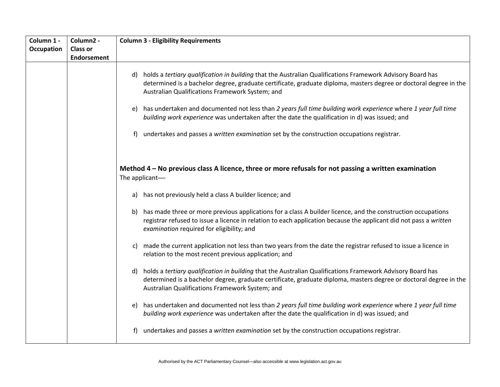| Column 1 -<br><b>Occupation</b> | Column2 -<br><b>Class or</b><br><b>Endorsement</b> | <b>Column 3 - Eligibility Requirements</b>                                                                                                                                                                                                                                                                                                                                                                                                                                                                                                                                                                         |
|---------------------------------|----------------------------------------------------|--------------------------------------------------------------------------------------------------------------------------------------------------------------------------------------------------------------------------------------------------------------------------------------------------------------------------------------------------------------------------------------------------------------------------------------------------------------------------------------------------------------------------------------------------------------------------------------------------------------------|
|                                 |                                                    | d) holds a tertiary qualification in building that the Australian Qualifications Framework Advisory Board has<br>determined is a bachelor degree, graduate certificate, graduate diploma, masters degree or doctoral degree in the<br>Australian Qualifications Framework System; and<br>has undertaken and documented not less than 2 years full time building work experience where 1 year full time<br>e)<br>building work experience was undertaken after the date the qualification in d) was issued; and<br>undertakes and passes a written examination set by the construction occupations registrar.<br>f) |
|                                 |                                                    | Method $4 - No$ previous class A licence, three or more refusals for not passing a written examination<br>The applicant-                                                                                                                                                                                                                                                                                                                                                                                                                                                                                           |
|                                 |                                                    | a) has not previously held a class A builder licence; and                                                                                                                                                                                                                                                                                                                                                                                                                                                                                                                                                          |
|                                 |                                                    | has made three or more previous applications for a class A builder licence, and the construction occupations<br>b)<br>registrar refused to issue a licence in relation to each application because the applicant did not pass a written<br>examination required for eligibility; and                                                                                                                                                                                                                                                                                                                               |
|                                 |                                                    | made the current application not less than two years from the date the registrar refused to issue a licence in<br>C)<br>relation to the most recent previous application; and                                                                                                                                                                                                                                                                                                                                                                                                                                      |
|                                 |                                                    | holds a tertiary qualification in building that the Australian Qualifications Framework Advisory Board has<br>d)<br>determined is a bachelor degree, graduate certificate, graduate diploma, masters degree or doctoral degree in the<br>Australian Qualifications Framework System; and                                                                                                                                                                                                                                                                                                                           |
|                                 |                                                    | has undertaken and documented not less than 2 years full time building work experience where 1 year full time<br>e)<br>building work experience was undertaken after the date the qualification in d) was issued; and                                                                                                                                                                                                                                                                                                                                                                                              |
|                                 |                                                    | undertakes and passes a written examination set by the construction occupations registrar.                                                                                                                                                                                                                                                                                                                                                                                                                                                                                                                         |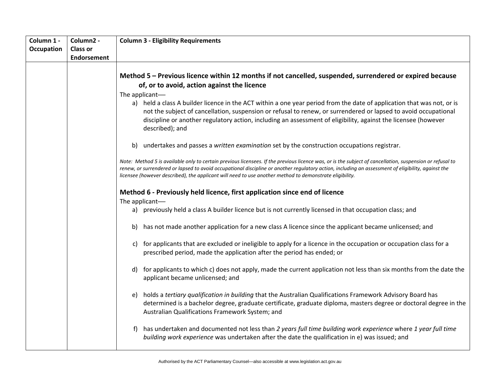| Column 1 -<br>Occupation | Column2 -<br><b>Class or</b> | <b>Column 3 - Eligibility Requirements</b>                                                                                                                                                                                                                                                                                                                                                                                                                                                                                                                  |
|--------------------------|------------------------------|-------------------------------------------------------------------------------------------------------------------------------------------------------------------------------------------------------------------------------------------------------------------------------------------------------------------------------------------------------------------------------------------------------------------------------------------------------------------------------------------------------------------------------------------------------------|
|                          | <b>Endorsement</b>           |                                                                                                                                                                                                                                                                                                                                                                                                                                                                                                                                                             |
|                          |                              | Method 5 - Previous licence within 12 months if not cancelled, suspended, surrendered or expired because<br>of, or to avoid, action against the licence<br>The applicant-<br>a) held a class A builder licence in the ACT within a one year period from the date of application that was not, or is<br>not the subject of cancellation, suspension or refusal to renew, or surrendered or lapsed to avoid occupational<br>discipline or another regulatory action, including an assessment of eligibility, against the licensee (however<br>described); and |
|                          |                              | undertakes and passes a written examination set by the construction occupations registrar.<br>b)                                                                                                                                                                                                                                                                                                                                                                                                                                                            |
|                          |                              | Note: Method 5 is available only to certain previous licensees. If the previous licence was, or is the subject of cancellation, suspension or refusal to<br>renew, or surrendered or lapsed to avoid occupational discipline or another regulatory action, including an assessment of eligibility, against the<br>licensee (however described), the applicant will need to use another method to demonstrate eligibility.                                                                                                                                   |
|                          |                              | Method 6 - Previously held licence, first application since end of licence<br>The applicant-                                                                                                                                                                                                                                                                                                                                                                                                                                                                |
|                          |                              | a) previously held a class A builder licence but is not currently licensed in that occupation class; and                                                                                                                                                                                                                                                                                                                                                                                                                                                    |
|                          |                              | has not made another application for a new class A licence since the applicant became unlicensed; and<br>b)                                                                                                                                                                                                                                                                                                                                                                                                                                                 |
|                          |                              | for applicants that are excluded or ineligible to apply for a licence in the occupation or occupation class for a<br>C)<br>prescribed period, made the application after the period has ended; or                                                                                                                                                                                                                                                                                                                                                           |
|                          |                              | for applicants to which c) does not apply, made the current application not less than six months from the date the<br>d)<br>applicant became unlicensed; and                                                                                                                                                                                                                                                                                                                                                                                                |
|                          |                              | holds a tertiary qualification in building that the Australian Qualifications Framework Advisory Board has<br>e)<br>determined is a bachelor degree, graduate certificate, graduate diploma, masters degree or doctoral degree in the<br>Australian Qualifications Framework System; and                                                                                                                                                                                                                                                                    |
|                          |                              | has undertaken and documented not less than 2 years full time building work experience where 1 year full time<br>building work experience was undertaken after the date the qualification in e) was issued; and                                                                                                                                                                                                                                                                                                                                             |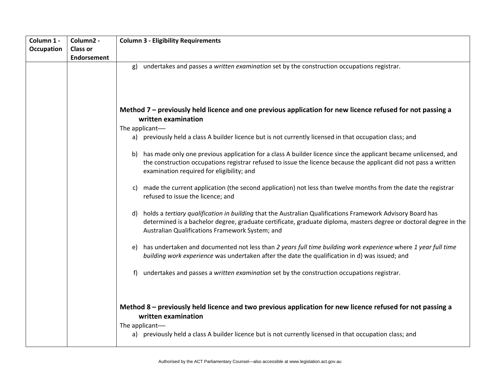| Column 1 -        | Column2 -          | <b>Column 3 - Eligibility Requirements</b>                                                                                                                                                                                                                                               |
|-------------------|--------------------|------------------------------------------------------------------------------------------------------------------------------------------------------------------------------------------------------------------------------------------------------------------------------------------|
| <b>Occupation</b> | <b>Class or</b>    |                                                                                                                                                                                                                                                                                          |
|                   | <b>Endorsement</b> |                                                                                                                                                                                                                                                                                          |
|                   |                    | undertakes and passes a written examination set by the construction occupations registrar.<br>g)                                                                                                                                                                                         |
|                   |                    | Method 7 – previously held licence and one previous application for new licence refused for not passing a<br>written examination                                                                                                                                                         |
|                   |                    | The applicant-                                                                                                                                                                                                                                                                           |
|                   |                    | a) previously held a class A builder licence but is not currently licensed in that occupation class; and                                                                                                                                                                                 |
|                   |                    | has made only one previous application for a class A builder licence since the applicant became unlicensed, and<br>b)<br>the construction occupations registrar refused to issue the licence because the applicant did not pass a written<br>examination required for eligibility; and   |
|                   |                    | made the current application (the second application) not less than twelve months from the date the registrar<br>C)<br>refused to issue the licence; and                                                                                                                                 |
|                   |                    | holds a tertiary qualification in building that the Australian Qualifications Framework Advisory Board has<br>d)<br>determined is a bachelor degree, graduate certificate, graduate diploma, masters degree or doctoral degree in the<br>Australian Qualifications Framework System; and |
|                   |                    | has undertaken and documented not less than 2 years full time building work experience where 1 year full time<br>e)<br>building work experience was undertaken after the date the qualification in d) was issued; and                                                                    |
|                   |                    | undertakes and passes a written examination set by the construction occupations registrar.<br>f)                                                                                                                                                                                         |
|                   |                    | Method 8 – previously held licence and two previous application for new licence refused for not passing a<br>written examination<br>The applicant-<br>a) previously held a class A builder licence but is not currently licensed in that occupation class; and                           |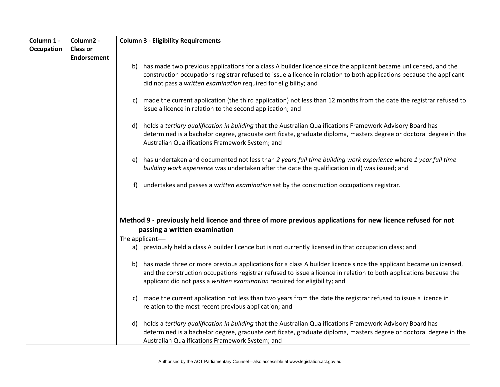| Column 1 - | Column2 -          | <b>Column 3 - Eligibility Requirements</b>                                                                                                                                                                                                                                                                                   |
|------------|--------------------|------------------------------------------------------------------------------------------------------------------------------------------------------------------------------------------------------------------------------------------------------------------------------------------------------------------------------|
| Occupation | <b>Class or</b>    |                                                                                                                                                                                                                                                                                                                              |
|            | <b>Endorsement</b> |                                                                                                                                                                                                                                                                                                                              |
|            |                    | has made two previous applications for a class A builder licence since the applicant became unlicensed, and the<br>b).<br>construction occupations registrar refused to issue a licence in relation to both applications because the applicant<br>did not pass a written examination required for eligibility; and           |
|            |                    |                                                                                                                                                                                                                                                                                                                              |
|            |                    | made the current application (the third application) not less than 12 months from the date the registrar refused to<br>C)<br>issue a licence in relation to the second application; and                                                                                                                                      |
|            |                    | holds a tertiary qualification in building that the Australian Qualifications Framework Advisory Board has<br>d)<br>determined is a bachelor degree, graduate certificate, graduate diploma, masters degree or doctoral degree in the<br>Australian Qualifications Framework System; and                                     |
|            |                    | has undertaken and documented not less than 2 years full time building work experience where 1 year full time<br>e)<br>building work experience was undertaken after the date the qualification in d) was issued; and                                                                                                        |
|            |                    | undertakes and passes a written examination set by the construction occupations registrar.<br>f)                                                                                                                                                                                                                             |
|            |                    | Method 9 - previously held licence and three of more previous applications for new licence refused for not<br>passing a written examination<br>The applicant-                                                                                                                                                                |
|            |                    | a) previously held a class A builder licence but is not currently licensed in that occupation class; and                                                                                                                                                                                                                     |
|            |                    | has made three or more previous applications for a class A builder licence since the applicant became unlicensed,<br>b).<br>and the construction occupations registrar refused to issue a licence in relation to both applications because the<br>applicant did not pass a written examination required for eligibility; and |
|            |                    | made the current application not less than two years from the date the registrar refused to issue a licence in<br>C)<br>relation to the most recent previous application; and                                                                                                                                                |
|            |                    | holds a tertiary qualification in building that the Australian Qualifications Framework Advisory Board has<br>d)<br>determined is a bachelor degree, graduate certificate, graduate diploma, masters degree or doctoral degree in the<br>Australian Qualifications Framework System; and                                     |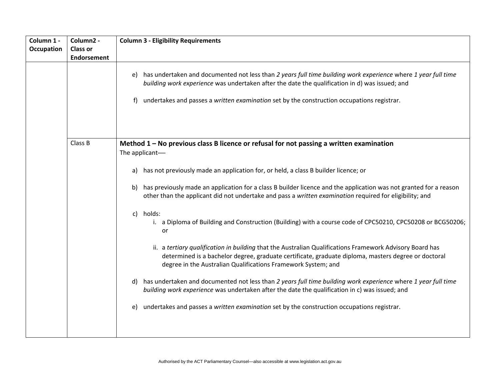| Column 1 -<br><b>Occupation</b> | Column2 -<br><b>Class or</b><br><b>Endorsement</b> | <b>Column 3 - Eligibility Requirements</b><br>has undertaken and documented not less than 2 years full time building work experience where 1 year full time<br>e)                                                                                                                                                                                                                                                                                                                                                                                                                                                                                                                                                                                                                                                                                                                                                                                                                                                                                                                                                                                                                                            |
|---------------------------------|----------------------------------------------------|--------------------------------------------------------------------------------------------------------------------------------------------------------------------------------------------------------------------------------------------------------------------------------------------------------------------------------------------------------------------------------------------------------------------------------------------------------------------------------------------------------------------------------------------------------------------------------------------------------------------------------------------------------------------------------------------------------------------------------------------------------------------------------------------------------------------------------------------------------------------------------------------------------------------------------------------------------------------------------------------------------------------------------------------------------------------------------------------------------------------------------------------------------------------------------------------------------------|
|                                 |                                                    | building work experience was undertaken after the date the qualification in d) was issued; and<br>undertakes and passes a written examination set by the construction occupations registrar.<br>f)                                                                                                                                                                                                                                                                                                                                                                                                                                                                                                                                                                                                                                                                                                                                                                                                                                                                                                                                                                                                           |
|                                 | Class B                                            | Method $1 -$ No previous class B licence or refusal for not passing a written examination<br>The applicant-<br>has not previously made an application for, or held, a class B builder licence; or<br>a)<br>has previously made an application for a class B builder licence and the application was not granted for a reason<br>b)<br>other than the applicant did not undertake and pass a written examination required for eligibility; and<br>holds:<br>$\mathsf{c}$<br>i. a Diploma of Building and Construction (Building) with a course code of CPC50210, CPC50208 or BCG50206;<br>or<br>ii. a tertiary qualification in building that the Australian Qualifications Framework Advisory Board has<br>determined is a bachelor degree, graduate certificate, graduate diploma, masters degree or doctoral<br>degree in the Australian Qualifications Framework System; and<br>has undertaken and documented not less than 2 years full time building work experience where 1 year full time<br>d)<br>building work experience was undertaken after the date the qualification in c) was issued; and<br>undertakes and passes a written examination set by the construction occupations registrar.<br>e) |
|                                 |                                                    |                                                                                                                                                                                                                                                                                                                                                                                                                                                                                                                                                                                                                                                                                                                                                                                                                                                                                                                                                                                                                                                                                                                                                                                                              |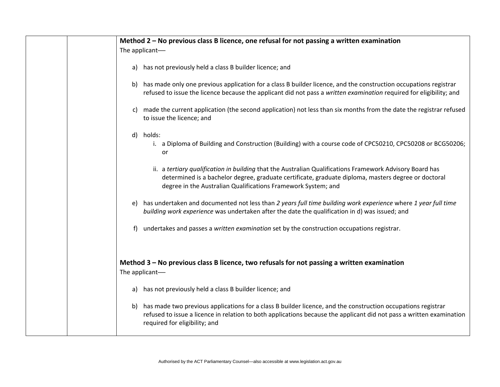| Method 2 - No previous class B licence, one refusal for not passing a written examination                                                                                                                                                                                        |
|----------------------------------------------------------------------------------------------------------------------------------------------------------------------------------------------------------------------------------------------------------------------------------|
| The applicant-                                                                                                                                                                                                                                                                   |
| a) has not previously held a class B builder licence; and                                                                                                                                                                                                                        |
| has made only one previous application for a class B builder licence, and the construction occupations registrar<br>b)<br>refused to issue the licence because the applicant did not pass a written examination required for eligibility; and                                    |
| made the current application (the second application) not less than six months from the date the registrar refused<br>C)<br>to issue the licence; and                                                                                                                            |
| holds:<br>d)<br>i. a Diploma of Building and Construction (Building) with a course code of CPC50210, CPC50208 or BCG50206;<br>or                                                                                                                                                 |
| ii. a tertiary qualification in building that the Australian Qualifications Framework Advisory Board has<br>determined is a bachelor degree, graduate certificate, graduate diploma, masters degree or doctoral<br>degree in the Australian Qualifications Framework System; and |
| has undertaken and documented not less than 2 years full time building work experience where 1 year full time<br>e)<br>building work experience was undertaken after the date the qualification in d) was issued; and                                                            |
| undertakes and passes a written examination set by the construction occupations registrar.<br>f)                                                                                                                                                                                 |
| Method 3 - No previous class B licence, two refusals for not passing a written examination<br>The applicant-                                                                                                                                                                     |
| has not previously held a class B builder licence; and<br>a)                                                                                                                                                                                                                     |
| has made two previous applications for a class B builder licence, and the construction occupations registrar<br>b)<br>refused to issue a licence in relation to both applications because the applicant did not pass a written examination<br>required for eligibility; and      |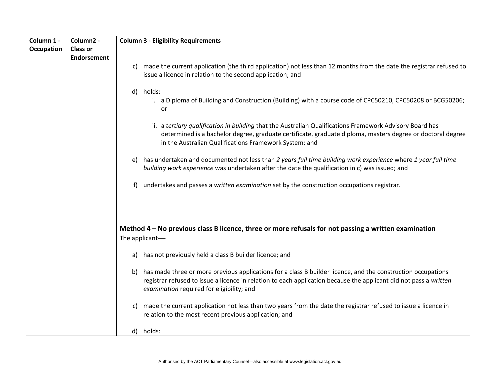| Column 1 -        | Column2 -          | <b>Column 3 - Eligibility Requirements</b>                                                                                                                                                                                                                                           |
|-------------------|--------------------|--------------------------------------------------------------------------------------------------------------------------------------------------------------------------------------------------------------------------------------------------------------------------------------|
| <b>Occupation</b> | <b>Class or</b>    |                                                                                                                                                                                                                                                                                      |
|                   | <b>Endorsement</b> |                                                                                                                                                                                                                                                                                      |
|                   |                    | made the current application (the third application) not less than 12 months from the date the registrar refused to<br>c)<br>issue a licence in relation to the second application; and                                                                                              |
|                   |                    | d) holds:<br>i. a Diploma of Building and Construction (Building) with a course code of CPC50210, CPC50208 or BCG50206;<br>or                                                                                                                                                        |
|                   |                    | ii. a tertiary qualification in building that the Australian Qualifications Framework Advisory Board has<br>determined is a bachelor degree, graduate certificate, graduate diploma, masters degree or doctoral degree<br>in the Australian Qualifications Framework System; and     |
|                   |                    | has undertaken and documented not less than 2 years full time building work experience where 1 year full time<br>e)<br>building work experience was undertaken after the date the qualification in c) was issued; and                                                                |
|                   |                    | undertakes and passes a written examination set by the construction occupations registrar.<br>f                                                                                                                                                                                      |
|                   |                    | Method 4 – No previous class B licence, three or more refusals for not passing a written examination<br>The applicant-                                                                                                                                                               |
|                   |                    | has not previously held a class B builder licence; and<br>a)                                                                                                                                                                                                                         |
|                   |                    | has made three or more previous applications for a class B builder licence, and the construction occupations<br>b)<br>registrar refused to issue a licence in relation to each application because the applicant did not pass a written<br>examination required for eligibility; and |
|                   |                    | made the current application not less than two years from the date the registrar refused to issue a licence in<br>C)<br>relation to the most recent previous application; and                                                                                                        |
|                   |                    | d) holds:                                                                                                                                                                                                                                                                            |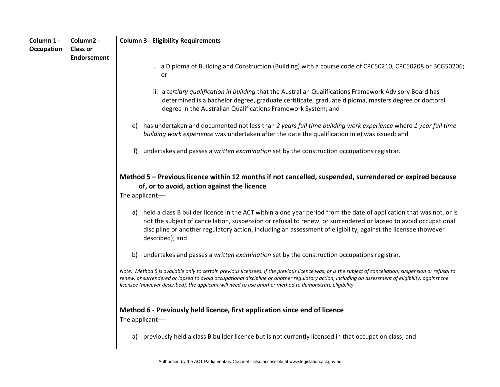| Column 1 -        | Column2 -          | <b>Column 3 - Eligibility Requirements</b>                                                                                                                                                                                                                                                                                                                                                                                |
|-------------------|--------------------|---------------------------------------------------------------------------------------------------------------------------------------------------------------------------------------------------------------------------------------------------------------------------------------------------------------------------------------------------------------------------------------------------------------------------|
| <b>Occupation</b> | <b>Class or</b>    |                                                                                                                                                                                                                                                                                                                                                                                                                           |
|                   | <b>Endorsement</b> |                                                                                                                                                                                                                                                                                                                                                                                                                           |
|                   |                    | i. a Diploma of Building and Construction (Building) with a course code of CPC50210, CPC50208 or BCG50206;<br>or                                                                                                                                                                                                                                                                                                          |
|                   |                    | ii. a tertiary qualification in building that the Australian Qualifications Framework Advisory Board has<br>determined is a bachelor degree, graduate certificate, graduate diploma, masters degree or doctoral<br>degree in the Australian Qualifications Framework System; and                                                                                                                                          |
|                   |                    | has undertaken and documented not less than 2 years full time building work experience where 1 year full time<br>e)<br>building work experience was undertaken after the date the qualification in e) was issued; and                                                                                                                                                                                                     |
|                   |                    | undertakes and passes a written examination set by the construction occupations registrar.<br>f                                                                                                                                                                                                                                                                                                                           |
|                   |                    | Method 5 - Previous licence within 12 months if not cancelled, suspended, surrendered or expired because<br>of, or to avoid, action against the licence<br>The applicant-                                                                                                                                                                                                                                                 |
|                   |                    | a) held a class B builder licence in the ACT within a one year period from the date of application that was not, or is<br>not the subject of cancellation, suspension or refusal to renew, or surrendered or lapsed to avoid occupational<br>discipline or another regulatory action, including an assessment of eligibility, against the licensee (however<br>described); and                                            |
|                   |                    | undertakes and passes a written examination set by the construction occupations registrar.<br>b)                                                                                                                                                                                                                                                                                                                          |
|                   |                    | Note: Method 5 is available only to certain previous licensees. If the previous licence was, or is the subject of cancellation, suspension or refusal to<br>renew, or surrendered or lapsed to avoid occupational discipline or another regulatory action, including an assessment of eligibility, against the<br>licensee (however described), the applicant will need to use another method to demonstrate eligibility. |
|                   |                    | Method 6 - Previously held licence, first application since end of licence<br>The applicant-                                                                                                                                                                                                                                                                                                                              |
|                   |                    | previously held a class B builder licence but is not currently licensed in that occupation class; and<br>a)                                                                                                                                                                                                                                                                                                               |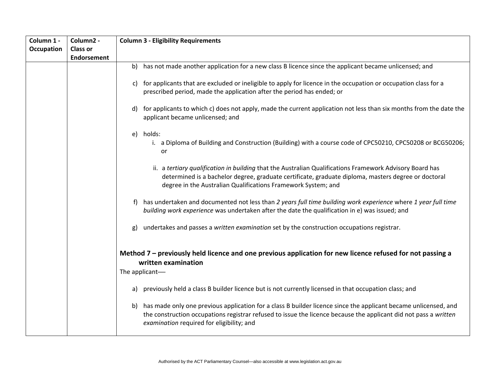| Column 1 -        | Column2 -          | <b>Column 3 - Eligibility Requirements</b>                                                                                                                                                                                                                                             |
|-------------------|--------------------|----------------------------------------------------------------------------------------------------------------------------------------------------------------------------------------------------------------------------------------------------------------------------------------|
| <b>Occupation</b> | <b>Class or</b>    |                                                                                                                                                                                                                                                                                        |
|                   | <b>Endorsement</b> |                                                                                                                                                                                                                                                                                        |
|                   |                    | has not made another application for a new class B licence since the applicant became unlicensed; and<br>b)                                                                                                                                                                            |
|                   |                    | for applicants that are excluded or ineligible to apply for licence in the occupation or occupation class for a<br>C)<br>prescribed period, made the application after the period has ended; or                                                                                        |
|                   |                    | for applicants to which c) does not apply, made the current application not less than six months from the date the<br>d)<br>applicant became unlicensed; and                                                                                                                           |
|                   |                    | holds:<br>e)<br>i. a Diploma of Building and Construction (Building) with a course code of CPC50210, CPC50208 or BCG50206;<br>or                                                                                                                                                       |
|                   |                    | ii. a tertiary qualification in building that the Australian Qualifications Framework Advisory Board has<br>determined is a bachelor degree, graduate certificate, graduate diploma, masters degree or doctoral<br>degree in the Australian Qualifications Framework System; and       |
|                   |                    | has undertaken and documented not less than 2 years full time building work experience where 1 year full time<br>building work experience was undertaken after the date the qualification in e) was issued; and                                                                        |
|                   |                    | undertakes and passes a written examination set by the construction occupations registrar.<br>g)                                                                                                                                                                                       |
|                   |                    | Method 7 – previously held licence and one previous application for new licence refused for not passing a<br>written examination<br>The applicant-                                                                                                                                     |
|                   |                    | previously held a class B builder licence but is not currently licensed in that occupation class; and<br>a)                                                                                                                                                                            |
|                   |                    | has made only one previous application for a class B builder licence since the applicant became unlicensed, and<br>b)<br>the construction occupations registrar refused to issue the licence because the applicant did not pass a written<br>examination required for eligibility; and |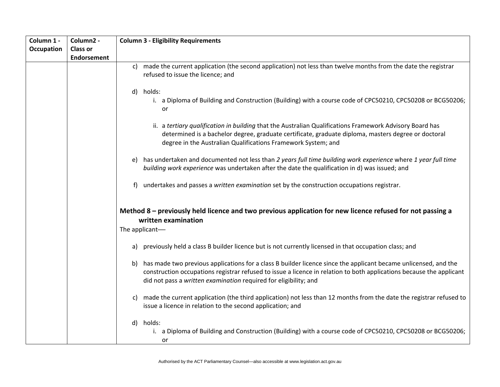| Column 1 -        | Column2 -          | <b>Column 3 - Eligibility Requirements</b>                                                                                                                                                                                                                                                                        |
|-------------------|--------------------|-------------------------------------------------------------------------------------------------------------------------------------------------------------------------------------------------------------------------------------------------------------------------------------------------------------------|
| <b>Occupation</b> | <b>Class or</b>    |                                                                                                                                                                                                                                                                                                                   |
|                   | <b>Endorsement</b> |                                                                                                                                                                                                                                                                                                                   |
|                   |                    | made the current application (the second application) not less than twelve months from the date the registrar<br>$\mathsf{c}$<br>refused to issue the licence; and                                                                                                                                                |
|                   |                    | holds:<br>d)<br>i. a Diploma of Building and Construction (Building) with a course code of CPC50210, CPC50208 or BCG50206;<br>or                                                                                                                                                                                  |
|                   |                    | ii. a tertiary qualification in building that the Australian Qualifications Framework Advisory Board has<br>determined is a bachelor degree, graduate certificate, graduate diploma, masters degree or doctoral<br>degree in the Australian Qualifications Framework System; and                                  |
|                   |                    | has undertaken and documented not less than 2 years full time building work experience where 1 year full time<br>e)<br>building work experience was undertaken after the date the qualification in d) was issued; and                                                                                             |
|                   |                    | undertakes and passes a written examination set by the construction occupations registrar.<br>f)                                                                                                                                                                                                                  |
|                   |                    | Method 8 – previously held licence and two previous application for new licence refused for not passing a<br>written examination<br>The applicant-                                                                                                                                                                |
|                   |                    | previously held a class B builder licence but is not currently licensed in that occupation class; and<br>a)                                                                                                                                                                                                       |
|                   |                    | has made two previous applications for a class B builder licence since the applicant became unlicensed, and the<br>b)<br>construction occupations registrar refused to issue a licence in relation to both applications because the applicant<br>did not pass a written examination required for eligibility; and |
|                   |                    | made the current application (the third application) not less than 12 months from the date the registrar refused to<br>C)<br>issue a licence in relation to the second application; and                                                                                                                           |
|                   |                    | holds:<br>d)<br>i. a Diploma of Building and Construction (Building) with a course code of CPC50210, CPC50208 or BCG50206;<br>or                                                                                                                                                                                  |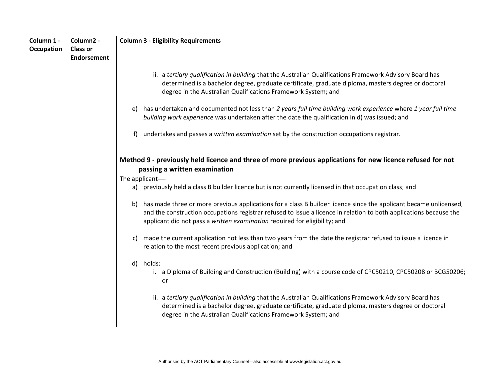| Column 1 -<br><b>Occupation</b> | Column <sub>2</sub> -<br><b>Class or</b> | <b>Column 3 - Eligibility Requirements</b>                                                                                                                                                                                                                                                                                  |
|---------------------------------|------------------------------------------|-----------------------------------------------------------------------------------------------------------------------------------------------------------------------------------------------------------------------------------------------------------------------------------------------------------------------------|
|                                 | <b>Endorsement</b>                       |                                                                                                                                                                                                                                                                                                                             |
|                                 |                                          | ii. a tertiary qualification in building that the Australian Qualifications Framework Advisory Board has<br>determined is a bachelor degree, graduate certificate, graduate diploma, masters degree or doctoral<br>degree in the Australian Qualifications Framework System; and                                            |
|                                 |                                          | has undertaken and documented not less than 2 years full time building work experience where 1 year full time<br>e)<br>building work experience was undertaken after the date the qualification in d) was issued; and                                                                                                       |
|                                 |                                          | undertakes and passes a written examination set by the construction occupations registrar.<br>f)                                                                                                                                                                                                                            |
|                                 |                                          | Method 9 - previously held licence and three of more previous applications for new licence refused for not<br>passing a written examination<br>The applicant-<br>a) previously held a class B builder licence but is not currently licensed in that occupation class; and                                                   |
|                                 |                                          | has made three or more previous applications for a class B builder licence since the applicant became unlicensed,<br>b)<br>and the construction occupations registrar refused to issue a licence in relation to both applications because the<br>applicant did not pass a written examination required for eligibility; and |
|                                 |                                          | made the current application not less than two years from the date the registrar refused to issue a licence in<br>C)<br>relation to the most recent previous application; and                                                                                                                                               |
|                                 |                                          | holds:<br>d)<br>i. a Diploma of Building and Construction (Building) with a course code of CPC50210, CPC50208 or BCG50206;<br>or                                                                                                                                                                                            |
|                                 |                                          | ii. a tertiary qualification in building that the Australian Qualifications Framework Advisory Board has<br>determined is a bachelor degree, graduate certificate, graduate diploma, masters degree or doctoral<br>degree in the Australian Qualifications Framework System; and                                            |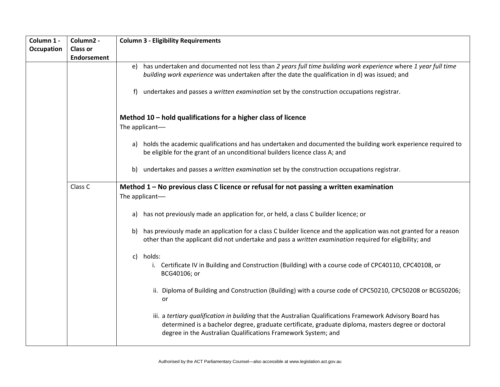| Column 1 -        | Column2 -          | <b>Column 3 - Eligibility Requirements</b>                                                                                                                                                                                                                                        |
|-------------------|--------------------|-----------------------------------------------------------------------------------------------------------------------------------------------------------------------------------------------------------------------------------------------------------------------------------|
| <b>Occupation</b> | <b>Class or</b>    |                                                                                                                                                                                                                                                                                   |
|                   | <b>Endorsement</b> |                                                                                                                                                                                                                                                                                   |
|                   |                    | has undertaken and documented not less than 2 years full time building work experience where 1 year full time<br>e)                                                                                                                                                               |
|                   |                    | building work experience was undertaken after the date the qualification in d) was issued; and                                                                                                                                                                                    |
|                   |                    | undertakes and passes a written examination set by the construction occupations registrar.<br>f)                                                                                                                                                                                  |
|                   |                    | Method $10$ – hold qualifications for a higher class of licence<br>The applicant-                                                                                                                                                                                                 |
|                   |                    | a) holds the academic qualifications and has undertaken and documented the building work experience required to<br>be eligible for the grant of an unconditional builders licence class A; and                                                                                    |
|                   |                    | undertakes and passes a written examination set by the construction occupations registrar.<br>b)                                                                                                                                                                                  |
|                   | Class C            | Method 1 - No previous class C licence or refusal for not passing a written examination<br>The applicant-                                                                                                                                                                         |
|                   |                    | has not previously made an application for, or held, a class C builder licence; or<br>a)                                                                                                                                                                                          |
|                   |                    | has previously made an application for a class C builder licence and the application was not granted for a reason<br>b)<br>other than the applicant did not undertake and pass a written examination required for eligibility; and                                                |
|                   |                    | holds:<br>$\mathsf{C}$<br>i. Certificate IV in Building and Construction (Building) with a course code of CPC40110, CPC40108, or<br>BCG40106; or                                                                                                                                  |
|                   |                    | ii. Diploma of Building and Construction (Building) with a course code of CPC50210, CPC50208 or BCG50206;<br>or                                                                                                                                                                   |
|                   |                    | iii. a tertiary qualification in building that the Australian Qualifications Framework Advisory Board has<br>determined is a bachelor degree, graduate certificate, graduate diploma, masters degree or doctoral<br>degree in the Australian Qualifications Framework System; and |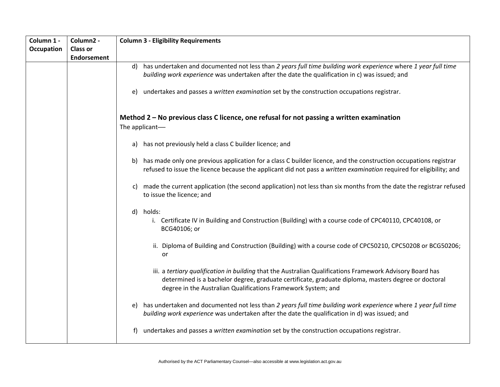| Column 1 -        | Column2 -          | <b>Column 3 - Eligibility Requirements</b>                                                                                                                                                                                                                                        |
|-------------------|--------------------|-----------------------------------------------------------------------------------------------------------------------------------------------------------------------------------------------------------------------------------------------------------------------------------|
| <b>Occupation</b> | <b>Class or</b>    |                                                                                                                                                                                                                                                                                   |
|                   | <b>Endorsement</b> |                                                                                                                                                                                                                                                                                   |
|                   |                    | has undertaken and documented not less than 2 years full time building work experience where 1 year full time<br>d)                                                                                                                                                               |
|                   |                    | building work experience was undertaken after the date the qualification in c) was issued; and                                                                                                                                                                                    |
|                   |                    |                                                                                                                                                                                                                                                                                   |
|                   |                    | undertakes and passes a written examination set by the construction occupations registrar.<br>e)                                                                                                                                                                                  |
|                   |                    |                                                                                                                                                                                                                                                                                   |
|                   |                    | Method 2 - No previous class C licence, one refusal for not passing a written examination<br>The applicant-                                                                                                                                                                       |
|                   |                    | a) has not previously held a class C builder licence; and                                                                                                                                                                                                                         |
|                   |                    | has made only one previous application for a class C builder licence, and the construction occupations registrar<br>b)<br>refused to issue the licence because the applicant did not pass a written examination required for eligibility; and                                     |
|                   |                    | made the current application (the second application) not less than six months from the date the registrar refused<br>C)<br>to issue the licence; and                                                                                                                             |
|                   |                    | holds:<br>$\mathsf{d}$                                                                                                                                                                                                                                                            |
|                   |                    | i. Certificate IV in Building and Construction (Building) with a course code of CPC40110, CPC40108, or<br>BCG40106; or                                                                                                                                                            |
|                   |                    | ii. Diploma of Building and Construction (Building) with a course code of CPC50210, CPC50208 or BCG50206;<br>or                                                                                                                                                                   |
|                   |                    | iii. a tertiary qualification in building that the Australian Qualifications Framework Advisory Board has<br>determined is a bachelor degree, graduate certificate, graduate diploma, masters degree or doctoral<br>degree in the Australian Qualifications Framework System; and |
|                   |                    | has undertaken and documented not less than 2 years full time building work experience where 1 year full time<br>e)<br>building work experience was undertaken after the date the qualification in d) was issued; and                                                             |
|                   |                    | undertakes and passes a written examination set by the construction occupations registrar.<br>f)                                                                                                                                                                                  |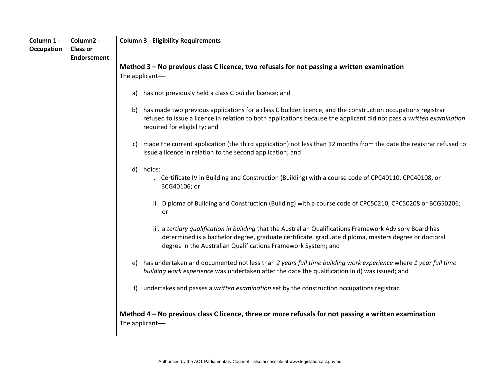| Column 1 - | Column2 -          | <b>Column 3 - Eligibility Requirements</b>                                                                                                                                                                                                                                        |
|------------|--------------------|-----------------------------------------------------------------------------------------------------------------------------------------------------------------------------------------------------------------------------------------------------------------------------------|
| Occupation | <b>Class or</b>    |                                                                                                                                                                                                                                                                                   |
|            | <b>Endorsement</b> |                                                                                                                                                                                                                                                                                   |
|            |                    | Method 3 – No previous class C licence, two refusals for not passing a written examination                                                                                                                                                                                        |
|            |                    | The applicant-                                                                                                                                                                                                                                                                    |
|            |                    |                                                                                                                                                                                                                                                                                   |
|            |                    | a) has not previously held a class C builder licence; and                                                                                                                                                                                                                         |
|            |                    | has made two previous applications for a class C builder licence, and the construction occupations registrar<br>b)<br>refused to issue a licence in relation to both applications because the applicant did not pass a written examination<br>required for eligibility; and       |
|            |                    | made the current application (the third application) not less than 12 months from the date the registrar refused to<br>C)<br>issue a licence in relation to the second application; and                                                                                           |
|            |                    | holds:<br>d)<br>i. Certificate IV in Building and Construction (Building) with a course code of CPC40110, CPC40108, or<br>BCG40106; or                                                                                                                                            |
|            |                    | ii. Diploma of Building and Construction (Building) with a course code of CPC50210, CPC50208 or BCG50206;<br>or                                                                                                                                                                   |
|            |                    | iii. a tertiary qualification in building that the Australian Qualifications Framework Advisory Board has<br>determined is a bachelor degree, graduate certificate, graduate diploma, masters degree or doctoral<br>degree in the Australian Qualifications Framework System; and |
|            |                    | has undertaken and documented not less than 2 years full time building work experience where 1 year full time<br>e)<br>building work experience was undertaken after the date the qualification in d) was issued; and                                                             |
|            |                    | undertakes and passes a written examination set by the construction occupations registrar.<br>f)                                                                                                                                                                                  |
|            |                    | Method 4 - No previous class C licence, three or more refusals for not passing a written examination<br>The applicant-                                                                                                                                                            |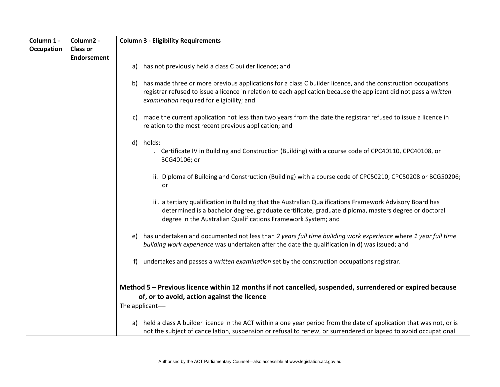| Column 1 -        | Column <sub>2</sub> - | <b>Column 3 - Eligibility Requirements</b>                                                                                                                                                                                                                                           |
|-------------------|-----------------------|--------------------------------------------------------------------------------------------------------------------------------------------------------------------------------------------------------------------------------------------------------------------------------------|
| <b>Occupation</b> | <b>Class or</b>       |                                                                                                                                                                                                                                                                                      |
|                   | <b>Endorsement</b>    |                                                                                                                                                                                                                                                                                      |
|                   |                       | has not previously held a class C builder licence; and<br>a)                                                                                                                                                                                                                         |
|                   |                       | has made three or more previous applications for a class C builder licence, and the construction occupations<br>b)<br>registrar refused to issue a licence in relation to each application because the applicant did not pass a written<br>examination required for eligibility; and |
|                   |                       | made the current application not less than two years from the date the registrar refused to issue a licence in<br>C)<br>relation to the most recent previous application; and                                                                                                        |
|                   |                       | holds:<br>d)<br>i. Certificate IV in Building and Construction (Building) with a course code of CPC40110, CPC40108, or<br>BCG40106; or                                                                                                                                               |
|                   |                       | ii. Diploma of Building and Construction (Building) with a course code of CPC50210, CPC50208 or BCG50206;<br>or                                                                                                                                                                      |
|                   |                       | iii. a tertiary qualification in Building that the Australian Qualifications Framework Advisory Board has<br>determined is a bachelor degree, graduate certificate, graduate diploma, masters degree or doctoral<br>degree in the Australian Qualifications Framework System; and    |
|                   |                       | has undertaken and documented not less than 2 years full time building work experience where 1 year full time<br>e)<br>building work experience was undertaken after the date the qualification in d) was issued; and                                                                |
|                   |                       | undertakes and passes a written examination set by the construction occupations registrar.<br>f)                                                                                                                                                                                     |
|                   |                       | Method 5 - Previous licence within 12 months if not cancelled, suspended, surrendered or expired because<br>of, or to avoid, action against the licence<br>The applicant-                                                                                                            |
|                   |                       | held a class A builder licence in the ACT within a one year period from the date of application that was not, or is<br>a)<br>not the subject of cancellation, suspension or refusal to renew, or surrendered or lapsed to avoid occupational                                         |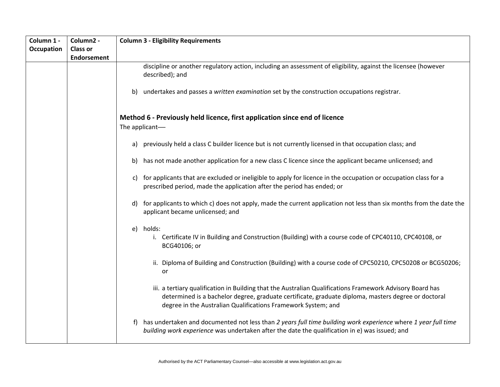| Column 1 - | Column2 -          | <b>Column 3 - Eligibility Requirements</b>                                                                                                                                                                                                                                        |
|------------|--------------------|-----------------------------------------------------------------------------------------------------------------------------------------------------------------------------------------------------------------------------------------------------------------------------------|
| Occupation | <b>Class or</b>    |                                                                                                                                                                                                                                                                                   |
|            | <b>Endorsement</b> |                                                                                                                                                                                                                                                                                   |
|            |                    | discipline or another regulatory action, including an assessment of eligibility, against the licensee (however<br>described); and                                                                                                                                                 |
|            |                    | undertakes and passes a written examination set by the construction occupations registrar.<br>b)                                                                                                                                                                                  |
|            |                    | Method 6 - Previously held licence, first application since end of licence<br>The applicant-                                                                                                                                                                                      |
|            |                    | previously held a class C builder licence but is not currently licensed in that occupation class; and<br>a)                                                                                                                                                                       |
|            |                    | has not made another application for a new class C licence since the applicant became unlicensed; and<br>b)                                                                                                                                                                       |
|            |                    | for applicants that are excluded or ineligible to apply for licence in the occupation or occupation class for a<br>C)<br>prescribed period, made the application after the period has ended; or                                                                                   |
|            |                    | for applicants to which c) does not apply, made the current application not less than six months from the date the<br>d)<br>applicant became unlicensed; and                                                                                                                      |
|            |                    | holds:<br>e)<br>i. Certificate IV in Building and Construction (Building) with a course code of CPC40110, CPC40108, or<br>BCG40106; or                                                                                                                                            |
|            |                    | ii. Diploma of Building and Construction (Building) with a course code of CPC50210, CPC50208 or BCG50206;<br>or                                                                                                                                                                   |
|            |                    | iii. a tertiary qualification in Building that the Australian Qualifications Framework Advisory Board has<br>determined is a bachelor degree, graduate certificate, graduate diploma, masters degree or doctoral<br>degree in the Australian Qualifications Framework System; and |
|            |                    | has undertaken and documented not less than 2 years full time building work experience where 1 year full time<br>t)<br>building work experience was undertaken after the date the qualification in e) was issued; and                                                             |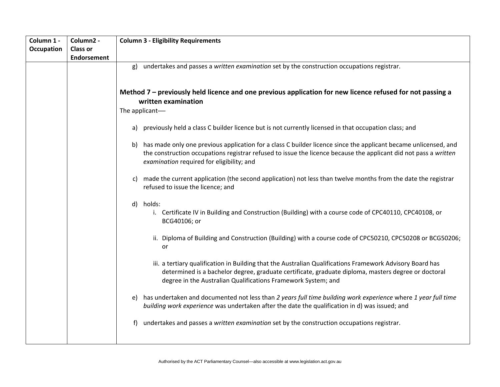| Column 1 -<br><b>Occupation</b> | Column2 -<br><b>Class or</b> | <b>Column 3 - Eligibility Requirements</b>                                                                                                                                                                                                                                          |
|---------------------------------|------------------------------|-------------------------------------------------------------------------------------------------------------------------------------------------------------------------------------------------------------------------------------------------------------------------------------|
|                                 | Endorsement                  | undertakes and passes a written examination set by the construction occupations registrar.<br>g)                                                                                                                                                                                    |
|                                 |                              | Method 7 – previously held licence and one previous application for new licence refused for not passing a<br>written examination                                                                                                                                                    |
|                                 |                              | The applicant-                                                                                                                                                                                                                                                                      |
|                                 |                              | a) previously held a class C builder licence but is not currently licensed in that occupation class; and                                                                                                                                                                            |
|                                 |                              | b) has made only one previous application for a class C builder licence since the applicant became unlicensed, and<br>the construction occupations registrar refused to issue the licence because the applicant did not pass a written<br>examination required for eligibility; and |
|                                 |                              | made the current application (the second application) not less than twelve months from the date the registrar<br>C)<br>refused to issue the licence; and                                                                                                                            |
|                                 |                              | holds:<br>d)<br>i. Certificate IV in Building and Construction (Building) with a course code of CPC40110, CPC40108, or<br>BCG40106; or                                                                                                                                              |
|                                 |                              | ii. Diploma of Building and Construction (Building) with a course code of CPC50210, CPC50208 or BCG50206;<br>or                                                                                                                                                                     |
|                                 |                              | iii. a tertiary qualification in Building that the Australian Qualifications Framework Advisory Board has<br>determined is a bachelor degree, graduate certificate, graduate diploma, masters degree or doctoral<br>degree in the Australian Qualifications Framework System; and   |
|                                 |                              | has undertaken and documented not less than 2 years full time building work experience where 1 year full time<br>e)<br>building work experience was undertaken after the date the qualification in d) was issued; and                                                               |
|                                 |                              | undertakes and passes a written examination set by the construction occupations registrar.<br>f)                                                                                                                                                                                    |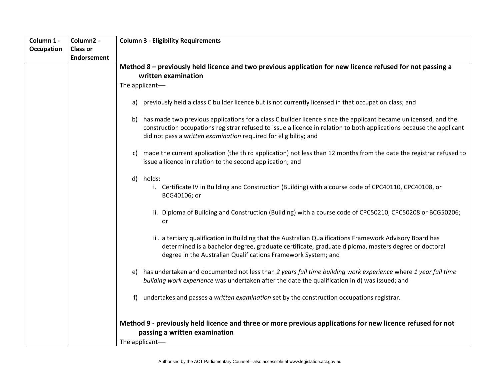| Column 1 -        | Column <sub>2</sub> - | <b>Column 3 - Eligibility Requirements</b>                                                                                                                                                                                                                                        |
|-------------------|-----------------------|-----------------------------------------------------------------------------------------------------------------------------------------------------------------------------------------------------------------------------------------------------------------------------------|
| <b>Occupation</b> | <b>Class or</b>       |                                                                                                                                                                                                                                                                                   |
|                   | Endorsement           |                                                                                                                                                                                                                                                                                   |
|                   |                       | Method 8 – previously held licence and two previous application for new licence refused for not passing a<br>written examination                                                                                                                                                  |
|                   |                       | The applicant-                                                                                                                                                                                                                                                                    |
|                   |                       |                                                                                                                                                                                                                                                                                   |
|                   |                       | previously held a class C builder licence but is not currently licensed in that occupation class; and<br>a)                                                                                                                                                                       |
|                   |                       | has made two previous applications for a class C builder licence since the applicant became unlicensed, and the<br>b)                                                                                                                                                             |
|                   |                       | construction occupations registrar refused to issue a licence in relation to both applications because the applicant<br>did not pass a written examination required for eligibility; and                                                                                          |
|                   |                       |                                                                                                                                                                                                                                                                                   |
|                   |                       | made the current application (the third application) not less than 12 months from the date the registrar refused to<br>C)<br>issue a licence in relation to the second application; and                                                                                           |
|                   |                       | d) holds:                                                                                                                                                                                                                                                                         |
|                   |                       | i. Certificate IV in Building and Construction (Building) with a course code of CPC40110, CPC40108, or<br>BCG40106; or                                                                                                                                                            |
|                   |                       | ii. Diploma of Building and Construction (Building) with a course code of CPC50210, CPC50208 or BCG50206;<br>or                                                                                                                                                                   |
|                   |                       | iii. a tertiary qualification in Building that the Australian Qualifications Framework Advisory Board has<br>determined is a bachelor degree, graduate certificate, graduate diploma, masters degree or doctoral<br>degree in the Australian Qualifications Framework System; and |
|                   |                       | has undertaken and documented not less than 2 years full time building work experience where 1 year full time<br>e)<br>building work experience was undertaken after the date the qualification in d) was issued; and                                                             |
|                   |                       | undertakes and passes a written examination set by the construction occupations registrar.<br>t)                                                                                                                                                                                  |
|                   |                       | Method 9 - previously held licence and three or more previous applications for new licence refused for not<br>passing a written examination<br>The applicant-                                                                                                                     |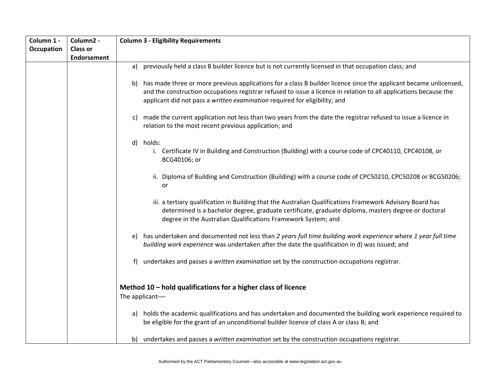| Column 1 -        | Column2 -       | <b>Column 3 - Eligibility Requirements</b>                                                                                                                                                                                                                                                                                 |
|-------------------|-----------------|----------------------------------------------------------------------------------------------------------------------------------------------------------------------------------------------------------------------------------------------------------------------------------------------------------------------------|
| <b>Occupation</b> | <b>Class or</b> |                                                                                                                                                                                                                                                                                                                            |
|                   | Endorsement     |                                                                                                                                                                                                                                                                                                                            |
|                   |                 | previously held a class B builder licence but is not currently licensed in that occupation class; and<br>a)                                                                                                                                                                                                                |
|                   |                 | has made three or more previous applications for a class B builder licence since the applicant became unlicensed,<br>b)<br>and the construction occupations registrar refused to issue a licence in relation to all applications because the<br>applicant did not pass a written examination required for eligibility; and |
|                   |                 | made the current application not less than two years from the date the registrar refused to issue a licence in<br>C)<br>relation to the most recent previous application; and                                                                                                                                              |
|                   |                 | d) holds:                                                                                                                                                                                                                                                                                                                  |
|                   |                 | i. Certificate IV in Building and Construction (Building) with a course code of CPC40110, CPC40108, or<br>BCG40106; or                                                                                                                                                                                                     |
|                   |                 | ii. Diploma of Building and Construction (Building) with a course code of CPC50210, CPC50208 or BCG50206;<br>or                                                                                                                                                                                                            |
|                   |                 | iii. a tertiary qualification in Building that the Australian Qualifications Framework Advisory Board has<br>determined is a bachelor degree, graduate certificate, graduate diploma, masters degree or doctoral<br>degree in the Australian Qualifications Framework System; and                                          |
|                   |                 | has undertaken and documented not less than 2 years full time building work experience where 1 year full time<br>e)<br>building work experience was undertaken after the date the qualification in d) was issued; and                                                                                                      |
|                   |                 | undertakes and passes a written examination set by the construction occupations registrar.<br>f)                                                                                                                                                                                                                           |
|                   |                 | Method 10 - hold qualifications for a higher class of licence<br>The applicant-                                                                                                                                                                                                                                            |
|                   |                 | a) holds the academic qualifications and has undertaken and documented the building work experience required to<br>be eligible for the grant of an unconditional builder licence of class A or class B; and                                                                                                                |
|                   |                 | undertakes and passes a written examination set by the construction occupations registrar.<br>b)                                                                                                                                                                                                                           |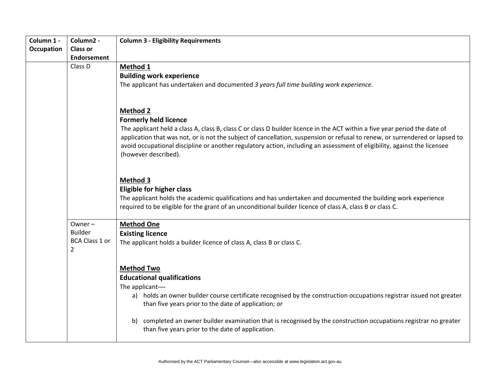| Column 1 -        | Column2 -                                                           | <b>Column 3 - Eligibility Requirements</b>                                                                                                                                                                                                                                                                                                                                                                                                                        |
|-------------------|---------------------------------------------------------------------|-------------------------------------------------------------------------------------------------------------------------------------------------------------------------------------------------------------------------------------------------------------------------------------------------------------------------------------------------------------------------------------------------------------------------------------------------------------------|
| <b>Occupation</b> | <b>Class or</b>                                                     |                                                                                                                                                                                                                                                                                                                                                                                                                                                                   |
|                   | <b>Endorsement</b>                                                  |                                                                                                                                                                                                                                                                                                                                                                                                                                                                   |
|                   | Class D                                                             | Method 1<br><b>Building work experience</b><br>The applicant has undertaken and documented 3 years full time building work experience.                                                                                                                                                                                                                                                                                                                            |
|                   |                                                                     | <b>Method 2</b><br><b>Formerly held licence</b><br>The applicant held a class A, class B, class C or class D builder licence in the ACT within a five year period the date of<br>application that was not, or is not the subject of cancellation, suspension or refusal to renew, or surrendered or lapsed to<br>avoid occupational discipline or another regulatory action, including an assessment of eligibility, against the licensee<br>(however described). |
|                   |                                                                     | <b>Method 3</b><br><b>Eligible for higher class</b><br>The applicant holds the academic qualifications and has undertaken and documented the building work experience<br>required to be eligible for the grant of an unconditional builder licence of class A, class B or class C.                                                                                                                                                                                |
|                   | Owner-<br><b>Builder</b><br><b>BCA Class 1 or</b><br>$\overline{2}$ | <b>Method One</b><br><b>Existing licence</b><br>The applicant holds a builder licence of class A, class B or class C.                                                                                                                                                                                                                                                                                                                                             |
|                   |                                                                     | <b>Method Two</b><br><b>Educational qualifications</b><br>The applicant-<br>a) holds an owner builder course certificate recognised by the construction occupations registrar issued not greater<br>than five years prior to the date of application; or<br>completed an owner builder examination that is recognised by the construction occupations registrar no greater<br>b)<br>than five years prior to the date of application.                             |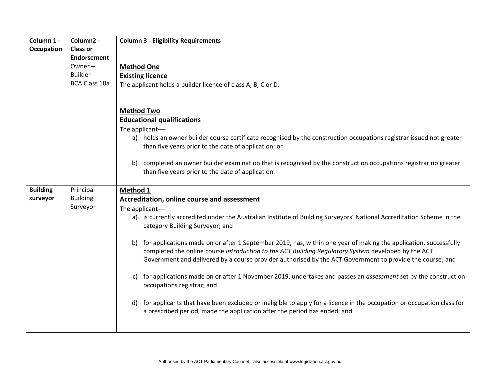| Column 1 -      | Column2 -            | <b>Column 3 - Eligibility Requirements</b>                                                                                                               |
|-----------------|----------------------|----------------------------------------------------------------------------------------------------------------------------------------------------------|
| Occupation      | <b>Class or</b>      |                                                                                                                                                          |
|                 | <b>Endorsement</b>   |                                                                                                                                                          |
|                 | Owner $-$            | <b>Method One</b>                                                                                                                                        |
|                 | <b>Builder</b>       | <b>Existing licence</b>                                                                                                                                  |
|                 | <b>BCA Class 10a</b> | The applicant holds a builder licence of class A, B, C or D.                                                                                             |
|                 |                      |                                                                                                                                                          |
|                 |                      |                                                                                                                                                          |
|                 |                      | <b>Method Two</b>                                                                                                                                        |
|                 |                      | <b>Educational qualifications</b>                                                                                                                        |
|                 |                      | The applicant-                                                                                                                                           |
|                 |                      | a) holds an owner builder course certificate recognised by the construction occupations registrar issued not greater                                     |
|                 |                      | than five years prior to the date of application; or                                                                                                     |
|                 |                      |                                                                                                                                                          |
|                 |                      | completed an owner builder examination that is recognised by the construction occupations registrar no greater<br>b)                                     |
|                 |                      | than five years prior to the date of application.                                                                                                        |
|                 |                      |                                                                                                                                                          |
| <b>Building</b> | Principal            | Method 1                                                                                                                                                 |
| surveyor        | <b>Building</b>      | Accreditation, online course and assessment                                                                                                              |
|                 | Surveyor             | The applicant-                                                                                                                                           |
|                 |                      | a) is currently accredited under the Australian Institute of Building Surveyors' National Accreditation Scheme in the<br>category Building Surveyor; and |
|                 |                      |                                                                                                                                                          |
|                 |                      | for applications made on or after 1 September 2019, has, within one year of making the application, successfully<br>b)                                   |
|                 |                      | completed the online course Introduction to the ACT Building Regulatory System developed by the ACT                                                      |
|                 |                      | Government and delivered by a course provider authorised by the ACT Government to provide the course; and                                                |
|                 |                      | for applications made on or after 1 November 2019, undertakes and passes an <i>assessment</i> set by the construction<br>C)                              |
|                 |                      | occupations registrar; and                                                                                                                               |
|                 |                      |                                                                                                                                                          |
|                 |                      | for applicants that have been excluded or ineligible to apply for a licence in the occupation or occupation class for<br>d)                              |
|                 |                      | a prescribed period, made the application after the period has ended; and                                                                                |
|                 |                      |                                                                                                                                                          |
|                 |                      |                                                                                                                                                          |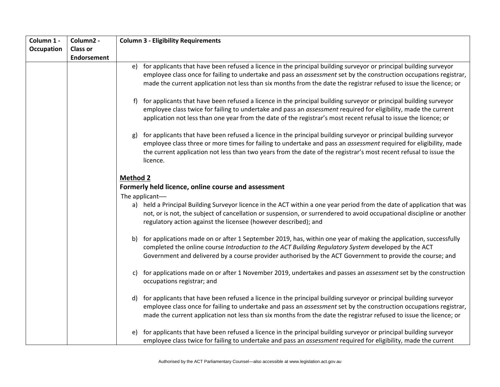| Column 1 -        | Column2 -          | <b>Column 3 - Eligibility Requirements</b>                                                                                                                                                                                                                                                                                                                                                                                                                                                |
|-------------------|--------------------|-------------------------------------------------------------------------------------------------------------------------------------------------------------------------------------------------------------------------------------------------------------------------------------------------------------------------------------------------------------------------------------------------------------------------------------------------------------------------------------------|
| <b>Occupation</b> | <b>Class or</b>    |                                                                                                                                                                                                                                                                                                                                                                                                                                                                                           |
|                   | <b>Endorsement</b> |                                                                                                                                                                                                                                                                                                                                                                                                                                                                                           |
|                   |                    | e) for applicants that have been refused a licence in the principal building surveyor or principal building surveyor<br>employee class once for failing to undertake and pass an assessment set by the construction occupations registrar,<br>made the current application not less than six months from the date the registrar refused to issue the licence; or                                                                                                                          |
|                   |                    | for applicants that have been refused a licence in the principal building surveyor or principal building surveyor<br>t)<br>employee class twice for failing to undertake and pass an assessment required for eligibility, made the current<br>application not less than one year from the date of the registrar's most recent refusal to issue the licence; or<br>for applicants that have been refused a licence in the principal building surveyor or principal building surveyor<br>g) |
|                   |                    | employee class three or more times for failing to undertake and pass an assessment required for eligibility, made<br>the current application not less than two years from the date of the registrar's most recent refusal to issue the<br>licence.                                                                                                                                                                                                                                        |
|                   |                    | <b>Method 2</b>                                                                                                                                                                                                                                                                                                                                                                                                                                                                           |
|                   |                    | Formerly held licence, online course and assessment                                                                                                                                                                                                                                                                                                                                                                                                                                       |
|                   |                    | The applicant-                                                                                                                                                                                                                                                                                                                                                                                                                                                                            |
|                   |                    | a) held a Principal Building Surveyor licence in the ACT within a one year period from the date of application that was<br>not, or is not, the subject of cancellation or suspension, or surrendered to avoid occupational discipline or another<br>regulatory action against the licensee (however described); and                                                                                                                                                                       |
|                   |                    | for applications made on or after 1 September 2019, has, within one year of making the application, successfully<br>b)<br>completed the online course Introduction to the ACT Building Regulatory System developed by the ACT<br>Government and delivered by a course provider authorised by the ACT Government to provide the course; and                                                                                                                                                |
|                   |                    | for applications made on or after 1 November 2019, undertakes and passes an <i>assessment</i> set by the construction<br>C)<br>occupations registrar; and                                                                                                                                                                                                                                                                                                                                 |
|                   |                    | for applicants that have been refused a licence in the principal building surveyor or principal building surveyor<br>d)<br>employee class once for failing to undertake and pass an assessment set by the construction occupations registrar,<br>made the current application not less than six months from the date the registrar refused to issue the licence; or                                                                                                                       |
|                   |                    | for applicants that have been refused a licence in the principal building surveyor or principal building surveyor<br>e)<br>employee class twice for failing to undertake and pass an assessment required for eligibility, made the current                                                                                                                                                                                                                                                |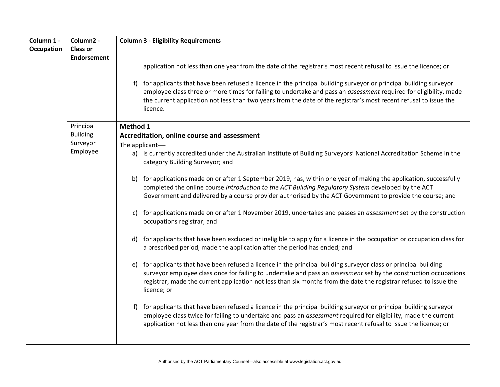| Column 1 -        | Column2 -          | <b>Column 3 - Eligibility Requirements</b>                                                                                                                                                                                                                                                                                                                                   |  |  |  |  |  |
|-------------------|--------------------|------------------------------------------------------------------------------------------------------------------------------------------------------------------------------------------------------------------------------------------------------------------------------------------------------------------------------------------------------------------------------|--|--|--|--|--|
| <b>Occupation</b> | <b>Class or</b>    |                                                                                                                                                                                                                                                                                                                                                                              |  |  |  |  |  |
|                   | <b>Endorsement</b> |                                                                                                                                                                                                                                                                                                                                                                              |  |  |  |  |  |
|                   |                    | application not less than one year from the date of the registrar's most recent refusal to issue the licence; or                                                                                                                                                                                                                                                             |  |  |  |  |  |
|                   |                    | f) for applicants that have been refused a licence in the principal building surveyor or principal building surveyor<br>employee class three or more times for failing to undertake and pass an assessment required for eligibility, made<br>the current application not less than two years from the date of the registrar's most recent refusal to issue the<br>licence.   |  |  |  |  |  |
|                   | Principal          | Method 1                                                                                                                                                                                                                                                                                                                                                                     |  |  |  |  |  |
|                   | <b>Building</b>    | Accreditation, online course and assessment                                                                                                                                                                                                                                                                                                                                  |  |  |  |  |  |
|                   | Surveyor           | The applicant-                                                                                                                                                                                                                                                                                                                                                               |  |  |  |  |  |
|                   | Employee           | a) is currently accredited under the Australian Institute of Building Surveyors' National Accreditation Scheme in the<br>category Building Surveyor; and                                                                                                                                                                                                                     |  |  |  |  |  |
|                   |                    | for applications made on or after 1 September 2019, has, within one year of making the application, successfully<br>b)<br>completed the online course Introduction to the ACT Building Regulatory System developed by the ACT<br>Government and delivered by a course provider authorised by the ACT Government to provide the course; and                                   |  |  |  |  |  |
|                   |                    | for applications made on or after 1 November 2019, undertakes and passes an <i>assessment</i> set by the construction<br>C)<br>occupations registrar; and                                                                                                                                                                                                                    |  |  |  |  |  |
|                   |                    | for applicants that have been excluded or ineligible to apply for a licence in the occupation or occupation class for<br>d)<br>a prescribed period, made the application after the period has ended; and                                                                                                                                                                     |  |  |  |  |  |
|                   |                    | for applicants that have been refused a licence in the principal building surveyor class or principal building<br>e)<br>surveyor employee class once for failing to undertake and pass an assessment set by the construction occupations<br>registrar, made the current application not less than six months from the date the registrar refused to issue the<br>licence; or |  |  |  |  |  |
|                   |                    | f) for applicants that have been refused a licence in the principal building surveyor or principal building surveyor<br>employee class twice for failing to undertake and pass an assessment required for eligibility, made the current<br>application not less than one year from the date of the registrar's most recent refusal to issue the licence; or                  |  |  |  |  |  |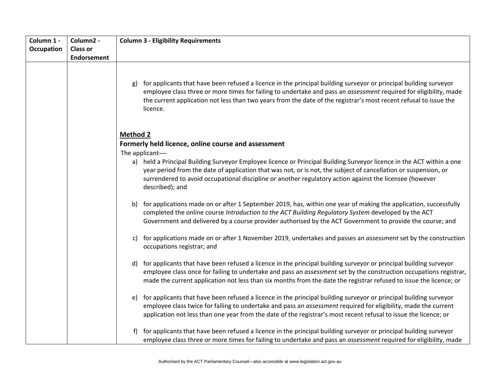| Column 1 -        | Column2 -          | <b>Column 3 - Eligibility Requirements</b>                                                                                                                                                                                                                                                                                                                             |  |  |  |
|-------------------|--------------------|------------------------------------------------------------------------------------------------------------------------------------------------------------------------------------------------------------------------------------------------------------------------------------------------------------------------------------------------------------------------|--|--|--|
| <b>Occupation</b> | <b>Class or</b>    |                                                                                                                                                                                                                                                                                                                                                                        |  |  |  |
|                   | <b>Endorsement</b> |                                                                                                                                                                                                                                                                                                                                                                        |  |  |  |
|                   |                    |                                                                                                                                                                                                                                                                                                                                                                        |  |  |  |
|                   |                    |                                                                                                                                                                                                                                                                                                                                                                        |  |  |  |
|                   |                    | for applicants that have been refused a licence in the principal building surveyor or principal building surveyor<br>g)<br>employee class three or more times for failing to undertake and pass an assessment required for eligibility, made                                                                                                                           |  |  |  |
|                   |                    | the current application not less than two years from the date of the registrar's most recent refusal to issue the<br>licence.                                                                                                                                                                                                                                          |  |  |  |
|                   |                    | <b>Method 2</b>                                                                                                                                                                                                                                                                                                                                                        |  |  |  |
|                   |                    | Formerly held licence, online course and assessment                                                                                                                                                                                                                                                                                                                    |  |  |  |
|                   |                    | The applicant-                                                                                                                                                                                                                                                                                                                                                         |  |  |  |
|                   |                    | a) held a Principal Building Surveyor Employee licence or Principal Building Surveyor licence in the ACT within a one<br>year period from the date of application that was not, or is not, the subject of cancellation or suspension, or<br>surrendered to avoid occupational discipline or another regulatory action against the licensee (however<br>described); and |  |  |  |
|                   |                    | for applications made on or after 1 September 2019, has, within one year of making the application, successfully<br>b)<br>completed the online course Introduction to the ACT Building Regulatory System developed by the ACT<br>Government and delivered by a course provider authorised by the ACT Government to provide the course; and                             |  |  |  |
|                   |                    | for applications made on or after 1 November 2019, undertakes and passes an <i>assessment</i> set by the construction<br>C)<br>occupations registrar; and                                                                                                                                                                                                              |  |  |  |
|                   |                    | for applicants that have been refused a licence in the principal building surveyor or principal building surveyor<br>d)<br>employee class once for failing to undertake and pass an assessment set by the construction occupations registrar,<br>made the current application not less than six months from the date the registrar refused to issue the licence; or    |  |  |  |
|                   |                    | for applicants that have been refused a licence in the principal building surveyor or principal building surveyor<br>e)<br>employee class twice for failing to undertake and pass an assessment required for eligibility, made the current<br>application not less than one year from the date of the registrar's most recent refusal to issue the licence; or         |  |  |  |
|                   |                    | for applicants that have been refused a licence in the principal building surveyor or principal building surveyor<br>f)<br>employee class three or more times for failing to undertake and pass an assessment required for eligibility, made                                                                                                                           |  |  |  |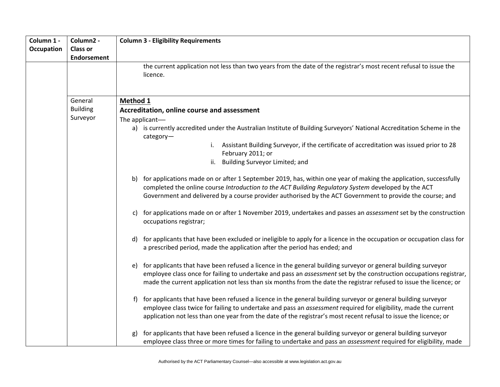| Column 1 -        | Column2 -          | <b>Column 3 - Eligibility Requirements</b>                                                                                                                                                                                                                                                                                                                      |  |  |  |  |  |  |
|-------------------|--------------------|-----------------------------------------------------------------------------------------------------------------------------------------------------------------------------------------------------------------------------------------------------------------------------------------------------------------------------------------------------------------|--|--|--|--|--|--|
| <b>Occupation</b> | <b>Class or</b>    |                                                                                                                                                                                                                                                                                                                                                                 |  |  |  |  |  |  |
|                   | <b>Endorsement</b> |                                                                                                                                                                                                                                                                                                                                                                 |  |  |  |  |  |  |
|                   |                    | the current application not less than two years from the date of the registrar's most recent refusal to issue the<br>licence.                                                                                                                                                                                                                                   |  |  |  |  |  |  |
|                   | General            | Method 1                                                                                                                                                                                                                                                                                                                                                        |  |  |  |  |  |  |
|                   | <b>Building</b>    | Accreditation, online course and assessment                                                                                                                                                                                                                                                                                                                     |  |  |  |  |  |  |
|                   | Surveyor           | The applicant-                                                                                                                                                                                                                                                                                                                                                  |  |  |  |  |  |  |
|                   |                    | a) is currently accredited under the Australian Institute of Building Surveyors' National Accreditation Scheme in the<br>category-                                                                                                                                                                                                                              |  |  |  |  |  |  |
|                   |                    | i. Assistant Building Surveyor, if the certificate of accreditation was issued prior to 28<br>February 2011; or                                                                                                                                                                                                                                                 |  |  |  |  |  |  |
|                   |                    | ii. Building Surveyor Limited; and                                                                                                                                                                                                                                                                                                                              |  |  |  |  |  |  |
|                   |                    | for applications made on or after 1 September 2019, has, within one year of making the application, successfully<br>b)<br>completed the online course Introduction to the ACT Building Regulatory System developed by the ACT<br>Government and delivered by a course provider authorised by the ACT Government to provide the course; and                      |  |  |  |  |  |  |
|                   |                    | for applications made on or after 1 November 2019, undertakes and passes an <i>assessment</i> set by the construction<br>C)<br>occupations registrar;                                                                                                                                                                                                           |  |  |  |  |  |  |
|                   |                    | for applicants that have been excluded or ineligible to apply for a licence in the occupation or occupation class for<br>d)<br>a prescribed period, made the application after the period has ended; and                                                                                                                                                        |  |  |  |  |  |  |
|                   |                    | for applicants that have been refused a licence in the general building surveyor or general building surveyor<br>e)<br>employee class once for failing to undertake and pass an assessment set by the construction occupations registrar,<br>made the current application not less than six months from the date the registrar refused to issue the licence; or |  |  |  |  |  |  |
|                   |                    | for applicants that have been refused a licence in the general building surveyor or general building surveyor<br>f<br>employee class twice for failing to undertake and pass an assessment required for eligibility, made the current<br>application not less than one year from the date of the registrar's most recent refusal to issue the licence; or       |  |  |  |  |  |  |
|                   |                    | for applicants that have been refused a licence in the general building surveyor or general building surveyor<br>g)<br>employee class three or more times for failing to undertake and pass an <i>assessment</i> required for eligibility, made                                                                                                                 |  |  |  |  |  |  |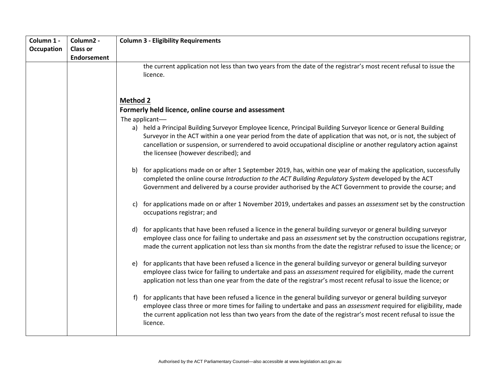| Column 1 -<br>Occupation | Column2 -<br><b>Class or</b> | <b>Column 3 - Eligibility Requirements</b>                                                                                                                                                                                                                                                                                                                                                                          |  |  |  |  |  |
|--------------------------|------------------------------|---------------------------------------------------------------------------------------------------------------------------------------------------------------------------------------------------------------------------------------------------------------------------------------------------------------------------------------------------------------------------------------------------------------------|--|--|--|--|--|
|                          | <b>Endorsement</b>           | the current application not less than two years from the date of the registrar's most recent refusal to issue the<br>licence.                                                                                                                                                                                                                                                                                       |  |  |  |  |  |
|                          |                              | <b>Method 2</b><br>Formerly held licence, online course and assessment                                                                                                                                                                                                                                                                                                                                              |  |  |  |  |  |
|                          |                              |                                                                                                                                                                                                                                                                                                                                                                                                                     |  |  |  |  |  |
|                          |                              | The applicant-<br>a) held a Principal Building Surveyor Employee licence, Principal Building Surveyor licence or General Building<br>Surveyor in the ACT within a one year period from the date of application that was not, or is not, the subject of<br>cancellation or suspension, or surrendered to avoid occupational discipline or another regulatory action against<br>the licensee (however described); and |  |  |  |  |  |
|                          |                              | for applications made on or after 1 September 2019, has, within one year of making the application, successfully<br>b)<br>completed the online course Introduction to the ACT Building Regulatory System developed by the ACT<br>Government and delivered by a course provider authorised by the ACT Government to provide the course; and                                                                          |  |  |  |  |  |
|                          |                              | for applications made on or after 1 November 2019, undertakes and passes an <i>assessment</i> set by the construction<br>C)<br>occupations registrar; and                                                                                                                                                                                                                                                           |  |  |  |  |  |
|                          |                              | for applicants that have been refused a licence in the general building surveyor or general building surveyor<br>d)<br>employee class once for failing to undertake and pass an assessment set by the construction occupations registrar,<br>made the current application not less than six months from the date the registrar refused to issue the licence; or                                                     |  |  |  |  |  |
|                          |                              | for applicants that have been refused a licence in the general building surveyor or general building surveyor<br>e)<br>employee class twice for failing to undertake and pass an assessment required for eligibility, made the current<br>application not less than one year from the date of the registrar's most recent refusal to issue the licence; or                                                          |  |  |  |  |  |
|                          |                              | for applicants that have been refused a licence in the general building surveyor or general building surveyor<br>f)<br>employee class three or more times for failing to undertake and pass an assessment required for eligibility, made<br>the current application not less than two years from the date of the registrar's most recent refusal to issue the<br>licence.                                           |  |  |  |  |  |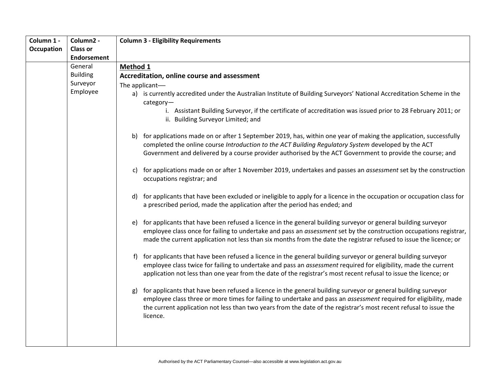| Column 1 -        | Column2 -          | <b>Column 3 - Eligibility Requirements</b>                                                                                                                                                                                                                                                                                                                                |  |  |  |  |  |
|-------------------|--------------------|---------------------------------------------------------------------------------------------------------------------------------------------------------------------------------------------------------------------------------------------------------------------------------------------------------------------------------------------------------------------------|--|--|--|--|--|
| <b>Occupation</b> | <b>Class or</b>    |                                                                                                                                                                                                                                                                                                                                                                           |  |  |  |  |  |
|                   | <b>Endorsement</b> |                                                                                                                                                                                                                                                                                                                                                                           |  |  |  |  |  |
|                   | General            | Method 1                                                                                                                                                                                                                                                                                                                                                                  |  |  |  |  |  |
|                   | <b>Building</b>    | Accreditation, online course and assessment                                                                                                                                                                                                                                                                                                                               |  |  |  |  |  |
|                   | Surveyor           | The applicant-                                                                                                                                                                                                                                                                                                                                                            |  |  |  |  |  |
|                   | Employee           | a) is currently accredited under the Australian Institute of Building Surveyors' National Accreditation Scheme in the<br>category-                                                                                                                                                                                                                                        |  |  |  |  |  |
|                   |                    | i. Assistant Building Surveyor, if the certificate of accreditation was issued prior to 28 February 2011; or<br>ii. Building Surveyor Limited; and                                                                                                                                                                                                                        |  |  |  |  |  |
|                   |                    | b) for applications made on or after 1 September 2019, has, within one year of making the application, successfully<br>completed the online course Introduction to the ACT Building Regulatory System developed by the ACT<br>Government and delivered by a course provider authorised by the ACT Government to provide the course; and                                   |  |  |  |  |  |
|                   |                    | for applications made on or after 1 November 2019, undertakes and passes an <i>assessment</i> set by the construction<br>C)<br>occupations registrar; and                                                                                                                                                                                                                 |  |  |  |  |  |
|                   |                    | for applicants that have been excluded or ineligible to apply for a licence in the occupation or occupation class for<br>d)<br>a prescribed period, made the application after the period has ended; and                                                                                                                                                                  |  |  |  |  |  |
|                   |                    | for applicants that have been refused a licence in the general building surveyor or general building surveyor<br>e)<br>employee class once for failing to undertake and pass an assessment set by the construction occupations registrar,<br>made the current application not less than six months from the date the registrar refused to issue the licence; or           |  |  |  |  |  |
|                   |                    | for applicants that have been refused a licence in the general building surveyor or general building surveyor<br>f)<br>employee class twice for failing to undertake and pass an assessment required for eligibility, made the current<br>application not less than one year from the date of the registrar's most recent refusal to issue the licence; or                |  |  |  |  |  |
|                   |                    | for applicants that have been refused a licence in the general building surveyor or general building surveyor<br>g)<br>employee class three or more times for failing to undertake and pass an assessment required for eligibility, made<br>the current application not less than two years from the date of the registrar's most recent refusal to issue the<br>licence. |  |  |  |  |  |
|                   |                    |                                                                                                                                                                                                                                                                                                                                                                           |  |  |  |  |  |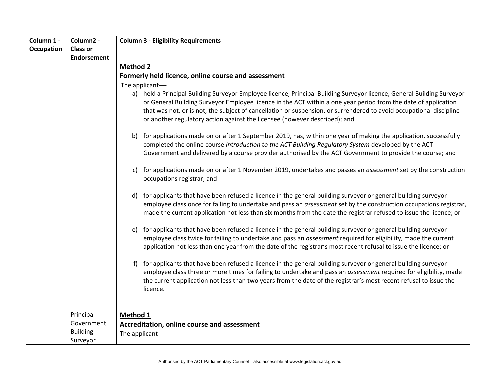| Column 1 -        | Column2 -          | <b>Column 3 - Eligibility Requirements</b>                                                                                                                                                                                                                                                                                                                                                                                                    |  |  |  |  |
|-------------------|--------------------|-----------------------------------------------------------------------------------------------------------------------------------------------------------------------------------------------------------------------------------------------------------------------------------------------------------------------------------------------------------------------------------------------------------------------------------------------|--|--|--|--|
| <b>Occupation</b> | <b>Class or</b>    |                                                                                                                                                                                                                                                                                                                                                                                                                                               |  |  |  |  |
|                   | <b>Endorsement</b> |                                                                                                                                                                                                                                                                                                                                                                                                                                               |  |  |  |  |
|                   |                    | <b>Method 2</b>                                                                                                                                                                                                                                                                                                                                                                                                                               |  |  |  |  |
|                   |                    | Formerly held licence, online course and assessment<br>The applicant-                                                                                                                                                                                                                                                                                                                                                                         |  |  |  |  |
|                   |                    |                                                                                                                                                                                                                                                                                                                                                                                                                                               |  |  |  |  |
|                   |                    | a) held a Principal Building Surveyor Employee licence, Principal Building Surveyor licence, General Building Surveyor<br>or General Building Surveyor Employee licence in the ACT within a one year period from the date of application<br>that was not, or is not, the subject of cancellation or suspension, or surrendered to avoid occupational discipline<br>or another regulatory action against the licensee (however described); and |  |  |  |  |
|                   |                    | b) for applications made on or after 1 September 2019, has, within one year of making the application, successfully<br>completed the online course Introduction to the ACT Building Regulatory System developed by the ACT<br>Government and delivered by a course provider authorised by the ACT Government to provide the course; and                                                                                                       |  |  |  |  |
|                   |                    | for applications made on or after 1 November 2019, undertakes and passes an <i>assessment</i> set by the construction<br>C)<br>occupations registrar; and                                                                                                                                                                                                                                                                                     |  |  |  |  |
|                   |                    | for applicants that have been refused a licence in the general building surveyor or general building surveyor<br>d)<br>employee class once for failing to undertake and pass an assessment set by the construction occupations registrar,<br>made the current application not less than six months from the date the registrar refused to issue the licence; or                                                                               |  |  |  |  |
|                   |                    | for applicants that have been refused a licence in the general building surveyor or general building surveyor<br>e)<br>employee class twice for failing to undertake and pass an assessment required for eligibility, made the current<br>application not less than one year from the date of the registrar's most recent refusal to issue the licence; or                                                                                    |  |  |  |  |
|                   |                    | for applicants that have been refused a licence in the general building surveyor or general building surveyor<br>f)<br>employee class three or more times for failing to undertake and pass an assessment required for eligibility, made<br>the current application not less than two years from the date of the registrar's most recent refusal to issue the<br>licence.                                                                     |  |  |  |  |
|                   | Principal          | Method 1                                                                                                                                                                                                                                                                                                                                                                                                                                      |  |  |  |  |
|                   | Government         | Accreditation, online course and assessment                                                                                                                                                                                                                                                                                                                                                                                                   |  |  |  |  |
|                   | <b>Building</b>    | The applicant-                                                                                                                                                                                                                                                                                                                                                                                                                                |  |  |  |  |
|                   | Surveyor           |                                                                                                                                                                                                                                                                                                                                                                                                                                               |  |  |  |  |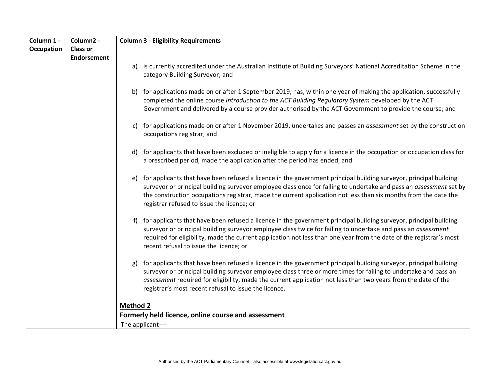| Column 1 - | Column2 -          | <b>Column 3 - Eligibility Requirements</b>                                                                                                                                                                                                                                                                                                                                                                            |  |  |  |
|------------|--------------------|-----------------------------------------------------------------------------------------------------------------------------------------------------------------------------------------------------------------------------------------------------------------------------------------------------------------------------------------------------------------------------------------------------------------------|--|--|--|
| Occupation | <b>Class or</b>    |                                                                                                                                                                                                                                                                                                                                                                                                                       |  |  |  |
|            | <b>Endorsement</b> |                                                                                                                                                                                                                                                                                                                                                                                                                       |  |  |  |
|            |                    | is currently accredited under the Australian Institute of Building Surveyors' National Accreditation Scheme in the<br>a)<br>category Building Surveyor; and                                                                                                                                                                                                                                                           |  |  |  |
|            |                    | for applications made on or after 1 September 2019, has, within one year of making the application, successfully<br>b)<br>completed the online course Introduction to the ACT Building Regulatory System developed by the ACT<br>Government and delivered by a course provider authorised by the ACT Government to provide the course; and                                                                            |  |  |  |
|            |                    | for applications made on or after 1 November 2019, undertakes and passes an <i>assessment</i> set by the construction<br>C)<br>occupations registrar; and                                                                                                                                                                                                                                                             |  |  |  |
|            |                    | for applicants that have been excluded or ineligible to apply for a licence in the occupation or occupation class for<br>d)<br>a prescribed period, made the application after the period has ended; and                                                                                                                                                                                                              |  |  |  |
|            |                    | for applicants that have been refused a licence in the government principal building surveyor, principal building<br>e)<br>surveyor or principal building surveyor employee class once for failing to undertake and pass an assessment set by<br>the construction occupations registrar, made the current application not less than six months from the date the<br>registrar refused to issue the licence; or        |  |  |  |
|            |                    | for applicants that have been refused a licence in the government principal building surveyor, principal building<br>f<br>surveyor or principal building surveyor employee class twice for failing to undertake and pass an assessment<br>required for eligibility, made the current application not less than one year from the date of the registrar's most<br>recent refusal to issue the licence; or              |  |  |  |
|            |                    | for applicants that have been refused a licence in the government principal building surveyor, principal building<br>g)<br>surveyor or principal building surveyor employee class three or more times for failing to undertake and pass an<br>assessment required for eligibility, made the current application not less than two years from the date of the<br>registrar's most recent refusal to issue the licence. |  |  |  |
|            |                    | <b>Method 2</b>                                                                                                                                                                                                                                                                                                                                                                                                       |  |  |  |
|            |                    | Formerly held licence, online course and assessment                                                                                                                                                                                                                                                                                                                                                                   |  |  |  |
|            |                    | The applicant-                                                                                                                                                                                                                                                                                                                                                                                                        |  |  |  |
|            |                    |                                                                                                                                                                                                                                                                                                                                                                                                                       |  |  |  |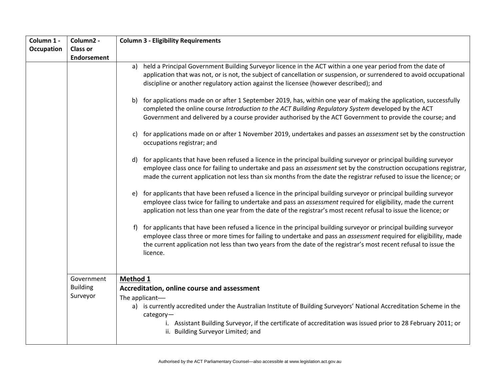| Column 1 -        | Column2 -          | <b>Column 3 - Eligibility Requirements</b>                                                                                                                                                                                                                                                                                                                                    |  |  |  |  |
|-------------------|--------------------|-------------------------------------------------------------------------------------------------------------------------------------------------------------------------------------------------------------------------------------------------------------------------------------------------------------------------------------------------------------------------------|--|--|--|--|
| <b>Occupation</b> | <b>Class or</b>    |                                                                                                                                                                                                                                                                                                                                                                               |  |  |  |  |
|                   | <b>Endorsement</b> |                                                                                                                                                                                                                                                                                                                                                                               |  |  |  |  |
|                   |                    | held a Principal Government Building Surveyor licence in the ACT within a one year period from the date of<br>a)<br>application that was not, or is not, the subject of cancellation or suspension, or surrendered to avoid occupational<br>discipline or another regulatory action against the licensee (however described); and                                             |  |  |  |  |
|                   |                    | for applications made on or after 1 September 2019, has, within one year of making the application, successfully<br>b)<br>completed the online course Introduction to the ACT Building Regulatory System developed by the ACT<br>Government and delivered by a course provider authorised by the ACT Government to provide the course; and                                    |  |  |  |  |
|                   |                    | for applications made on or after 1 November 2019, undertakes and passes an <i>assessment</i> set by the construction<br>C)<br>occupations registrar; and                                                                                                                                                                                                                     |  |  |  |  |
|                   |                    | for applicants that have been refused a licence in the principal building surveyor or principal building surveyor<br>d)<br>employee class once for failing to undertake and pass an assessment set by the construction occupations registrar,<br>made the current application not less than six months from the date the registrar refused to issue the licence; or           |  |  |  |  |
|                   |                    | for applicants that have been refused a licence in the principal building surveyor or principal building surveyor<br>e)<br>employee class twice for failing to undertake and pass an assessment required for eligibility, made the current<br>application not less than one year from the date of the registrar's most recent refusal to issue the licence; or                |  |  |  |  |
|                   |                    | for applicants that have been refused a licence in the principal building surveyor or principal building surveyor<br>f)<br>employee class three or more times for failing to undertake and pass an assessment required for eligibility, made<br>the current application not less than two years from the date of the registrar's most recent refusal to issue the<br>licence. |  |  |  |  |
|                   | Government         | Method 1                                                                                                                                                                                                                                                                                                                                                                      |  |  |  |  |
|                   | <b>Building</b>    | Accreditation, online course and assessment                                                                                                                                                                                                                                                                                                                                   |  |  |  |  |
|                   | Surveyor           | The applicant-                                                                                                                                                                                                                                                                                                                                                                |  |  |  |  |
|                   |                    | a) is currently accredited under the Australian Institute of Building Surveyors' National Accreditation Scheme in the<br>category-<br>i. Assistant Building Surveyor, if the certificate of accreditation was issued prior to 28 February 2011; or<br>ii. Building Surveyor Limited; and                                                                                      |  |  |  |  |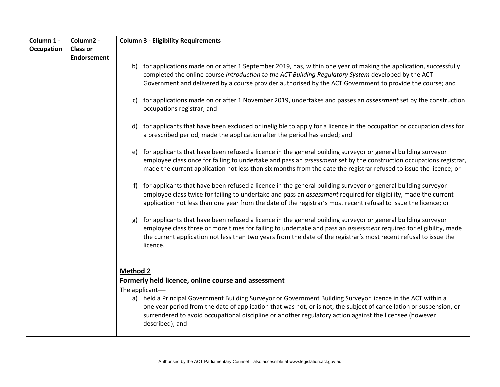| Column 1 -        | Column2 -          | <b>Column 3 - Eligibility Requirements</b>                                                                                                                                                                                                                                                                                                                                |  |  |  |
|-------------------|--------------------|---------------------------------------------------------------------------------------------------------------------------------------------------------------------------------------------------------------------------------------------------------------------------------------------------------------------------------------------------------------------------|--|--|--|
| <b>Occupation</b> | <b>Class or</b>    |                                                                                                                                                                                                                                                                                                                                                                           |  |  |  |
|                   | <b>Endorsement</b> |                                                                                                                                                                                                                                                                                                                                                                           |  |  |  |
|                   |                    | for applications made on or after 1 September 2019, has, within one year of making the application, successfully<br>b)<br>completed the online course Introduction to the ACT Building Regulatory System developed by the ACT<br>Government and delivered by a course provider authorised by the ACT Government to provide the course; and                                |  |  |  |
|                   |                    | for applications made on or after 1 November 2019, undertakes and passes an <i>assessment</i> set by the construction<br>C)<br>occupations registrar; and                                                                                                                                                                                                                 |  |  |  |
|                   |                    | for applicants that have been excluded or ineligible to apply for a licence in the occupation or occupation class for<br>d)<br>a prescribed period, made the application after the period has ended; and                                                                                                                                                                  |  |  |  |
|                   |                    | for applicants that have been refused a licence in the general building surveyor or general building surveyor<br>e)<br>employee class once for failing to undertake and pass an assessment set by the construction occupations registrar,<br>made the current application not less than six months from the date the registrar refused to issue the licence; or           |  |  |  |
|                   |                    | for applicants that have been refused a licence in the general building surveyor or general building surveyor<br>$\ddot{}$<br>employee class twice for failing to undertake and pass an assessment required for eligibility, made the current<br>application not less than one year from the date of the registrar's most recent refusal to issue the licence; or         |  |  |  |
|                   |                    | for applicants that have been refused a licence in the general building surveyor or general building surveyor<br>g)<br>employee class three or more times for failing to undertake and pass an assessment required for eligibility, made<br>the current application not less than two years from the date of the registrar's most recent refusal to issue the<br>licence. |  |  |  |
|                   |                    | <b>Method 2</b>                                                                                                                                                                                                                                                                                                                                                           |  |  |  |
|                   |                    | Formerly held licence, online course and assessment                                                                                                                                                                                                                                                                                                                       |  |  |  |
|                   |                    | The applicant-                                                                                                                                                                                                                                                                                                                                                            |  |  |  |
|                   |                    | a) held a Principal Government Building Surveyor or Government Building Surveyor licence in the ACT within a<br>one year period from the date of application that was not, or is not, the subject of cancellation or suspension, or<br>surrendered to avoid occupational discipline or another regulatory action against the licensee (however<br>described); and         |  |  |  |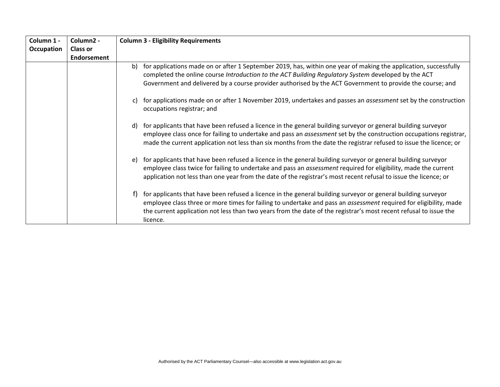| Column 1 - | Column <sub>2</sub> - | <b>Column 3 - Eligibility Requirements</b>                                                                                                                                                                                                                                                                                                                                       |  |  |  |
|------------|-----------------------|----------------------------------------------------------------------------------------------------------------------------------------------------------------------------------------------------------------------------------------------------------------------------------------------------------------------------------------------------------------------------------|--|--|--|
| Occupation | <b>Class or</b>       |                                                                                                                                                                                                                                                                                                                                                                                  |  |  |  |
|            | <b>Endorsement</b>    |                                                                                                                                                                                                                                                                                                                                                                                  |  |  |  |
|            |                       | for applications made on or after 1 September 2019, has, within one year of making the application, successfully<br>b)<br>completed the online course Introduction to the ACT Building Regulatory System developed by the ACT<br>Government and delivered by a course provider authorised by the ACT Government to provide the course; and                                       |  |  |  |
|            |                       | for applications made on or after 1 November 2019, undertakes and passes an <i>assessment</i> set by the construction<br>C)<br>occupations registrar; and                                                                                                                                                                                                                        |  |  |  |
|            |                       | for applicants that have been refused a licence in the general building surveyor or general building surveyor<br>d)<br>employee class once for failing to undertake and pass an assessment set by the construction occupations registrar,<br>made the current application not less than six months from the date the registrar refused to issue the licence; or                  |  |  |  |
|            |                       | for applicants that have been refused a licence in the general building surveyor or general building surveyor<br>e)<br>employee class twice for failing to undertake and pass an assessment required for eligibility, made the current<br>application not less than one year from the date of the registrar's most recent refusal to issue the licence; or                       |  |  |  |
|            |                       | for applicants that have been refused a licence in the general building surveyor or general building surveyor<br>t)<br>employee class three or more times for failing to undertake and pass an <i>assessment</i> required for eligibility, made<br>the current application not less than two years from the date of the registrar's most recent refusal to issue the<br>licence. |  |  |  |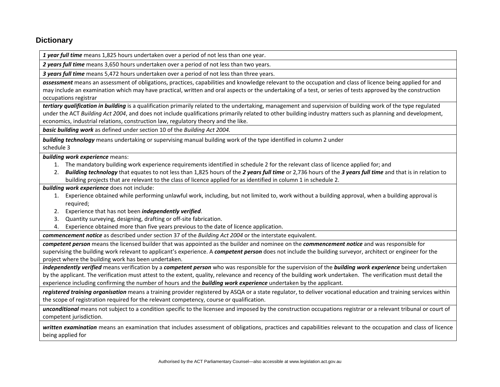# **Dictionary**

*1 year full time* means 1,825 hours undertaken over a period of not less than one year.

*2 years full time* means 3,650 hours undertaken over a period of not less than two years.

*3 years full time* means 5,472 hours undertaken over a period of not less than three years.

*assessment* means an assessment of obligations, practices, capabilities and knowledge relevant to the occupation and class of licence being applied for and may include an examination which may have practical, written and oral aspects or the undertaking of a test, or series of tests approved by the construction occupations registrar

*tertiary qualification in building* is a qualification primarily related to the undertaking, management and supervision of building work of the type regulated under the ACT *Building Act 2004*, and does not include qualifications primarily related to other building industry matters such as planning and development, economics, industrial relations, construction law, regulatory theory and the like.

*basic building work* as defined under section 10 of the *Building Act 2004.*

*building technology* means undertaking or supervising manual building work of the type identified in column 2 under schedule 3

*building work experience* means:

- 1. The mandatory building work experience requirements identified in schedule 2 for the relevant class of licence applied for; and
- 2. *Building technology* that equates to not less than 1,825 hours of the *2 years full time* or 2,736 hours of the *3 years full time* and that is in relation to building projects that are relevant to the class of licence applied for as identified in column 1 in schedule 2.

*building work experience* does not include:

- 1. Experience obtained while performing unlawful work, including, but not limited to, work without a building approval, when a building approval is required;
- 2. Experience that has not been *independently verified*.
- 3. Quantity surveying, designing, drafting or off-site fabrication.
- 4. Experience obtained more than five years previous to the date of licence application.

*commencement notice* as described under section 37 of the *Building Act 2004* or the interstate equivalent.

*competent person* means the licensed builder that was appointed as the builder and nominee on the *commencement notice* and was responsible for supervising the building work relevant to applicant's experience. A *competent person* does not include the building surveyor, architect or engineer for the project where the building work has been undertaken.

*independently verified* means verification by a *competent person* who was responsible for the supervision of the *building work experience* being undertaken by the applicant. The verification must attest to the extent, quality, relevance and recency of the building work undertaken. The verification must detail the experience including confirming the number of hours and the *building work experience* undertaken by the applicant.

*registered training organisation* means a training provider registered by ASQA or a state regulator, to deliver vocational education and training services within the scope of registration required for the relevant competency, course or qualification.

*unconditional* means not subject to a condition specific to the licensee and imposed by the construction occupations registrar or a relevant tribunal or court of competent jurisdiction.

*written examination* means an examination that includes assessment of obligations, practices and capabilities relevant to the occupation and class of licence being applied for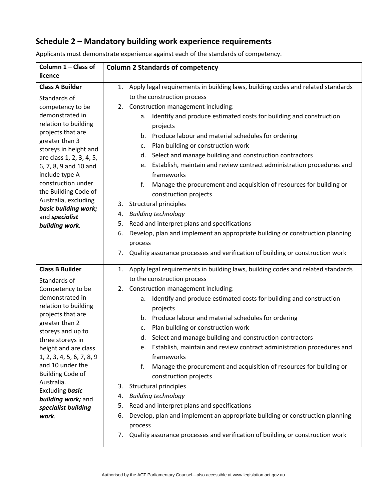# **Schedule 2 – Mandatory building work experience requirements**

| Column 1 - Class of<br>licence                               | <b>Column 2 Standards of competency</b>                                                                                                          |
|--------------------------------------------------------------|--------------------------------------------------------------------------------------------------------------------------------------------------|
| <b>Class A Builder</b>                                       | Apply legal requirements in building laws, building codes and related standards<br>1.                                                            |
| Standards of                                                 | to the construction process                                                                                                                      |
| competency to be                                             | 2. Construction management including:                                                                                                            |
| demonstrated in<br>relation to building<br>projects that are | Identify and produce estimated costs for building and construction<br>a.<br>projects<br>Produce labour and material schedules for ordering<br>b. |
| greater than 3                                               | Plan building or construction work<br>c.                                                                                                         |
| storeys in height and<br>are class 1, 2, 3, 4, 5,            | Select and manage building and construction contractors<br>d.                                                                                    |
| 6, 7, 8, 9 and 10 and                                        | Establish, maintain and review contract administration procedures and<br>e.                                                                      |
| include type A                                               | frameworks                                                                                                                                       |
| construction under<br>the Building Code of                   | Manage the procurement and acquisition of resources for building or<br>f.<br>construction projects                                               |
| Australia, excluding<br>basic building work;                 | 3. Structural principles                                                                                                                         |
| and specialist                                               | <b>Building technology</b><br>4.                                                                                                                 |
| building work.                                               | Read and interpret plans and specifications<br>5.                                                                                                |
|                                                              | Develop, plan and implement an appropriate building or construction planning<br>6.                                                               |
|                                                              | process                                                                                                                                          |
|                                                              | Quality assurance processes and verification of building or construction work<br>7.                                                              |
| <b>Class B Builder</b>                                       | Apply legal requirements in building laws, building codes and related standards<br>1.                                                            |
| Standards of                                                 | to the construction process                                                                                                                      |
| Competency to be                                             | 2. Construction management including:                                                                                                            |
| demonstrated in                                              | Identify and produce estimated costs for building and construction<br>a.                                                                         |
| relation to building<br>projects that are                    | projects                                                                                                                                         |
| greater than 2                                               | b. Produce labour and material schedules for ordering                                                                                            |
| storeys and up to                                            | Plan building or construction work<br>c.                                                                                                         |
| three storeys in                                             | Select and manage building and construction contractors<br>d.                                                                                    |
| height and are class<br>1, 2, 3, 4, 5, 6, 7, 8, 9            | Establish, maintain and review contract administration procedures and<br>frameworks                                                              |
| and 10 under the                                             | f.<br>Manage the procurement and acquisition of resources for building or                                                                        |
| <b>Building Code of</b>                                      | construction projects                                                                                                                            |
| Australia.                                                   | 3. Structural principles                                                                                                                         |
| Excluding basic                                              | <b>Building technology</b><br>4.                                                                                                                 |
| building work; and<br>specialist building                    | Read and interpret plans and specifications<br>5.                                                                                                |
| work.                                                        | Develop, plan and implement an appropriate building or construction planning<br>6.                                                               |
|                                                              | process                                                                                                                                          |
|                                                              | Quality assurance processes and verification of building or construction work<br>7.                                                              |

Applicants must demonstrate experience against each of the standards of competency.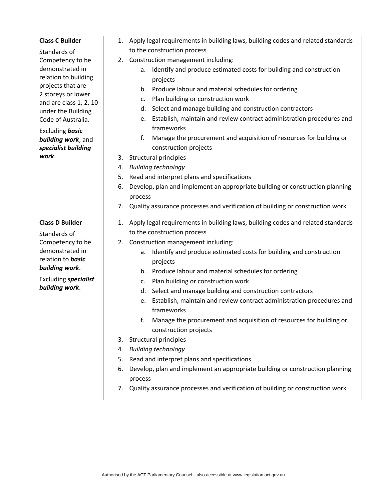| <b>Class C Builder</b>                  |    | 1. Apply legal requirements in building laws, building codes and related standards      |
|-----------------------------------------|----|-----------------------------------------------------------------------------------------|
| Standards of                            |    | to the construction process                                                             |
| Competency to be                        |    | 2. Construction management including:                                                   |
| demonstrated in                         |    | Identify and produce estimated costs for building and construction<br>а.                |
| relation to building                    |    | projects                                                                                |
| projects that are<br>2 storeys or lower |    | b. Produce labour and material schedules for ordering                                   |
| and are class 1, 2, 10                  |    | Plan building or construction work<br>c.                                                |
| under the Building                      |    | d. Select and manage building and construction contractors                              |
| Code of Australia.                      |    | e. Establish, maintain and review contract administration procedures and                |
| Excluding basic                         |    | frameworks                                                                              |
| building work; and                      |    | f.<br>Manage the procurement and acquisition of resources for building or               |
| specialist building                     |    | construction projects                                                                   |
| work.                                   | 3. | Structural principles                                                                   |
|                                         |    | 4. Building technology                                                                  |
|                                         | 5. | Read and interpret plans and specifications                                             |
|                                         | 6. | Develop, plan and implement an appropriate building or construction planning            |
|                                         |    | process                                                                                 |
|                                         | 7. | Quality assurance processes and verification of building or construction work           |
| <b>Class D Builder</b>                  |    | 1. Apply legal requirements in building laws, building codes and related standards      |
| Standards of                            |    | to the construction process                                                             |
| Competency to be                        |    | 2. Construction management including:                                                   |
| demonstrated in                         |    | Identify and produce estimated costs for building and construction<br>a.                |
| relation to <b>basic</b>                |    | projects                                                                                |
| building work.                          |    | b. Produce labour and material schedules for ordering                                   |
| <b>Excluding specialist</b>             |    | Plan building or construction work<br>c.                                                |
| building work.                          |    | d. Select and manage building and construction contractors                              |
|                                         |    | e. Establish, maintain and review contract administration procedures and                |
|                                         |    | frameworks                                                                              |
|                                         |    | Manage the procurement and acquisition of resources for building or                     |
|                                         |    | construction projects                                                                   |
|                                         | 3. | Structural principles                                                                   |
|                                         | 4. | <b>Building technology</b>                                                              |
|                                         | 5. | Read and interpret plans and specifications                                             |
|                                         | 6. | Develop, plan and implement an appropriate building or construction planning<br>process |
|                                         | 7. | Quality assurance processes and verification of building or construction work           |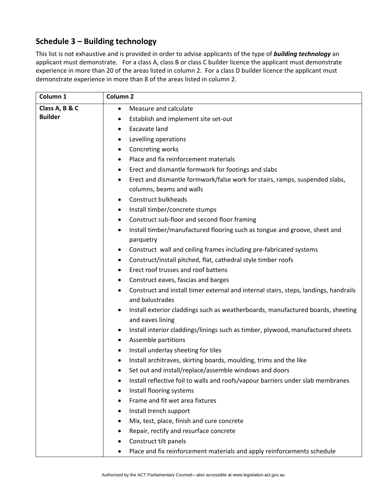# **Schedule 3 – Building technology**

This list is not exhaustive and is provided in order to advise applicants of the type of *building technology* an applicant must demonstrate. For a class A, class B or class C builder licence the applicant must demonstrate experience in more than 20 of the areas listed in column 2. For a class D builder licence the applicant must demonstrate experience in more than 8 of the areas listed in column 2.

| Column 1       | Column <sub>2</sub>                                                                  |
|----------------|--------------------------------------------------------------------------------------|
| Class A, B & C | Measure and calculate                                                                |
| <b>Builder</b> | Establish and implement site set-out<br>٠                                            |
|                | <b>Excavate land</b><br>٠                                                            |
|                | Levelling operations<br>٠                                                            |
|                | Concreting works<br>٠                                                                |
|                | Place and fix reinforcement materials<br>٠                                           |
|                | Erect and dismantle formwork for footings and slabs                                  |
|                | Erect and dismantle formwork/false work for stairs, ramps, suspended slabs,<br>٠     |
|                | columns, beams and walls                                                             |
|                | Construct bulkheads<br>٠                                                             |
|                | Install timber/concrete stumps<br>٠                                                  |
|                | Construct sub-floor and second floor framing<br>٠                                    |
|                | Install timber/manufactured flooring such as tongue and groove, sheet and<br>٠       |
|                | parquetry<br>Construct wall and ceiling frames including pre-fabricated systems      |
|                | Construct/install pitched, flat, cathedral style timber roofs                        |
|                | ٠<br>Erect roof trusses and roof battens<br>٠                                        |
|                | Construct eaves, fascias and barges                                                  |
|                | Construct and install timer external and internal stairs, steps, landings, handrails |
|                | and balustrades                                                                      |
|                | Install exterior claddings such as weatherboards, manufactured boards, sheeting      |
|                | and eaves lining                                                                     |
|                | Install interior claddings/linings such as timber, plywood, manufactured sheets<br>٠ |
|                | Assemble partitions<br>٠                                                             |
|                | Install underlay sheeting for tiles<br>٠                                             |
|                | Install architraves, skirting boards, moulding, trims and the like                   |
|                | Set out and install/replace/assemble windows and doors                               |
|                | Install reflective foil to walls and roofs/vapour barriers under slab membranes<br>٠ |
|                | Install flooring systems<br>$\bullet$                                                |
|                | Frame and fit wet area fixtures<br>٠                                                 |
|                | Install trench support<br>٠                                                          |
|                | Mix, test, place, finish and cure concrete<br>٠                                      |
|                | Repair, rectify and resurface concrete                                               |
|                | Construct tilt panels                                                                |
|                | Place and fix reinforcement materials and apply reinforcements schedule<br>٠         |